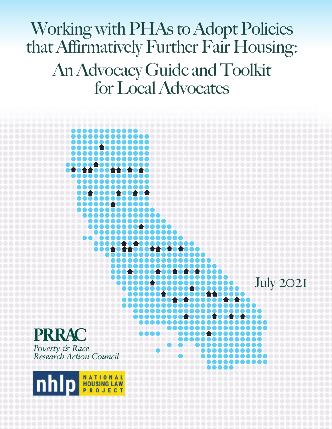# Working with PHAs to Adopt Policies that Affirmatively Further Fair Housing: An Advocacy Guide and Toolkit for Local Advocates

**July 2021** 



Poverty & Race<br>Research Action Council

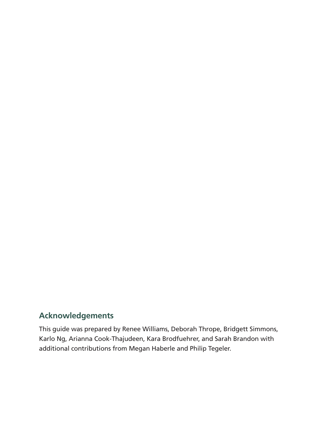# **Acknowledgements**

This guide was prepared by Renee Williams, Deborah Thrope, Bridgett Simmons, Karlo Ng, Arianna Cook-Thajudeen, Kara Brodfuehrer, and Sarah Brandon with additional contributions from Megan Haberle and Philip Tegeler.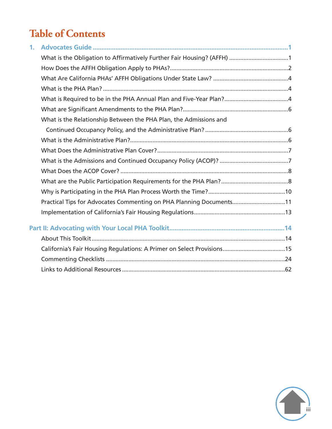# **Table of Contents**

| 1. |                                                                     |  |
|----|---------------------------------------------------------------------|--|
|    |                                                                     |  |
|    |                                                                     |  |
|    |                                                                     |  |
|    |                                                                     |  |
|    |                                                                     |  |
|    |                                                                     |  |
|    | What is the Relationship Between the PHA Plan, the Admissions and   |  |
|    |                                                                     |  |
|    |                                                                     |  |
|    |                                                                     |  |
|    |                                                                     |  |
|    |                                                                     |  |
|    |                                                                     |  |
|    |                                                                     |  |
|    | Practical Tips for Advocates Commenting on PHA Planning Documents11 |  |
|    |                                                                     |  |
|    |                                                                     |  |
|    |                                                                     |  |
|    |                                                                     |  |
|    |                                                                     |  |
|    |                                                                     |  |

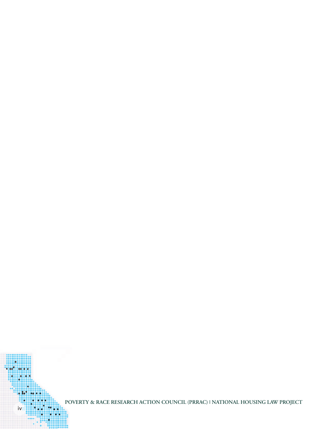

₩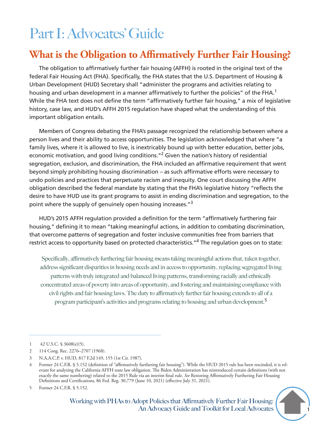# Part I: Advocates' Guide

# **What is the Obligation to Affirmatively Further Fair Housing?**

The obligation to affirmatively further fair housing (AFFH) is rooted in the original text of the federal Fair Housing Act (FHA). Specifically, the FHA states that the U.S. Department of Housing & Urban Development (HUD) Secretary shall "administer the programs and activities relating to housing and urban development in a manner affirmatively to further the policies" of the FHA.<sup>1</sup> While the FHA text does not define the term "affirmatively further fair housing," a mix of legislative history, case law, and HUD's AFFH 2015 regulation have shaped what the understanding of this important obligation entails.

Members of Congress debating the FHA's passage recognized the relationship between where a person lives and their ability to access opportunities. The legislation acknowledged that where "a family lives, where it is allowed to live, is inextricably bound up with better education, better jobs, economic motivation, and good living conditions."<sup>2</sup> Given the nation's history of residential segregation, exclusion, and discrimination, the FHA included an affirmative requirement that went beyond simply prohibiting housing discrimination – as such affirmative efforts were necessary to undo policies and practices that perpetuate racism and inequity. One court discussing the AFFH obligation described the federal mandate by stating that the FHA's legislative history "reflects the desire to have HUD use its grant programs to assist in ending discrimination and segregation, to the point where the supply of genuinely open housing increases."<sup>3</sup>

HUD's 2015 AFFH regulation provided a definition for the term "affirmatively furthering fair housing," defining it to mean "taking meaningful actions, in addition to combating discrimination, that overcome patterns of segregation and foster inclusive communities free from barriers that restrict access to opportunity based on protected characteristics."<sup>4</sup> The regulation goes on to state:

Specifically, affirmatively furthering fair housing means taking meaningful actions that, taken together, address significant disparities in housing needs and in access to opportunity, replacing segregated living patterns with truly integrated and balanced living patterns, transforming racially and ethnically concentrated areas of poverty into areas of opportunity, and fostering and maintaining compliance with civil rights and fair housing laws. The duty to affirmatively further fair housing extends to all of a program participant's activities and programs relating to housing and urban development.<sup>5</sup>

\_\_\_\_\_\_\_\_\_\_\_\_\_\_\_\_\_\_\_\_\_\_\_\_\_\_\_\_\_\_\_\_\_\_\_\_\_\_\_\_\_\_\_\_\_\_\_\_\_\_\_\_\_\_\_

<sup>5</sup> Former 24 C.F.R. § 5.152.





<sup>1 42</sup> U.S.C. § 3608(e)(5).

<sup>2</sup> 114 Cong. Rec. 2276–2707 (1968).

<sup>3</sup> N.A.A.C.P. v. HUD, 817 F.2d 149, 155 (1st Cir. 1987).

<sup>4</sup> Former 24 C.F.R. § 5.152 (definition of "affirmatively furthering fair housing"). While the HUD 2015 rule has been rescinded, it is relevant for analyzing the California AFFH state law obligation. The Biden Administration has reintroduced certain definitions (with not exactly the same numbering) related to the 2015 Rule via an interim final rule. *See* Restoring Affirmatively Furthering Fair Housing Definitions and Certifications, 86 Fed. Reg. 30,779 (June 10, 2021) (effective July 31, 2021).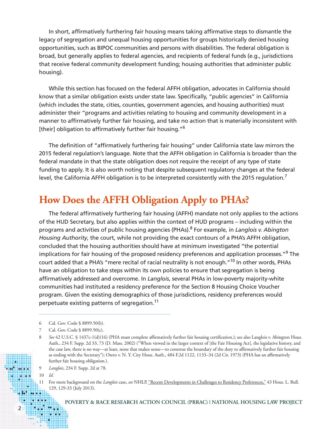In short, affirmatively furthering fair housing means taking affirmative steps to dismantle the legacy of segregation and unequal housing opportunities for groups historically denied housing opportunities, such as BIPOC communities and persons with disabilities. The federal obligation is broad, but generally applies to federal agencies, and recipients of federal funds (e.g., jurisdictions that receive federal community development funding; housing authorities that administer public housing).

While this section has focused on the federal AFFH obligation, advocates in California should know that a similar obligation exists under state law. Specifically, "public agencies" in California (which includes the state, cities, counties, government agencies, and housing authorities) must administer their "programs and activities relating to housing and community development in a manner to affirmatively further fair housing, and take no action that is materially inconsistent with [their] obligation to affirmatively further fair housing."<sup>6</sup>

The definition of "affirmatively furthering fair housing" under California state law mirrors the 2015 federal regulation's language. Note that the AFFH obligation in California is broader than the federal mandate in that the state obligation does not require the receipt of any type of state funding to apply. It is also worth noting that despite subsequent regulatory changes at the federal level, the California AFFH obligation is to be interpreted consistently with the 2015 regulation.<sup>7</sup>

# **How Does the AFFH Obligation Apply to PHAs?**

The federal affirmatively furthering fair housing (AFFH) mandate not only applies to the actions of the HUD Secretary, but also applies within the context of HUD programs – including within the programs and activities of public housing agencies (PHAs).8 For example, in *Langlois v. Abington Housing Authority*, the court, while not providing the exact contours of a PHA's AFFH obligation, concluded that the housing authorities should have at minimum investigated "the potential implications for fair housing of the proposed residency preferences and application processes."<sup>9</sup> The court added that a PHA's "mere recital of racial neutrality is not enough."10 In other words, PHAs have an obligation to take steps within its own policies to ensure that segregation is being affirmatively addressed and overcome. In *Langlois*, several PHAs in low-poverty majority-white communities had instituted a residency preference for the Section 8 Housing Choice Voucher program. Given the existing demographics of those jurisdictions, residency preferences would perpetuate existing patterns of segregation.<sup>11</sup>

\_\_\_\_\_\_\_\_\_\_\_\_\_\_\_\_\_\_\_\_\_\_\_\_\_\_\_\_\_\_\_\_\_\_\_\_\_\_\_\_\_\_\_\_\_\_\_\_\_\_\_\_\_\_\_

猫

2022224 ₩

<sup>6</sup> Cal. Gov. Code § 8899.50(b).

<sup>7</sup> Cal. Gov. Code § 8899.50(c).

<sup>8</sup> *See* 42 U.S.C. § 1437c-1(d)(16) (PHA must complete affirmatively further fair housing certification.); see also Langlois v. Abington Hous. Auth., 234 F. Supp. 2d 33, 73 (D. Mass. 2002) ("When viewed in the larger context of [the Fair Housing Act], the legislative history, and the case law, there is no way—at least, none that makes sense—to construe the boundary of the duty to affirmatively further fair housing as ending with the Secretary"); Otero v. N. Y. City Hous. Auth., 484 F.2d 1122, 1133–34 (2d Cir. 1973) (PHA has an affirmatively further fair housing obligation.).

<sup>9</sup> *Langlois*, 234 F. Supp. 2d at 78.

<sup>10</sup> *Id.*

<sup>11</sup> For more background on the *Langlois* case, *see* NHLP, "Recent Developments in Challenges to Residency Preferences," 43 Hous. L. Bull. 129, 129-33 (July 2013).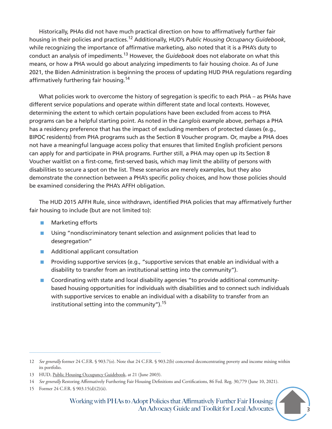Historically, PHAs did not have much practical direction on how to affirmatively further fair housing in their policies and practices.12 Additionally, HUD's *Public Housing Occupancy Guidebook*, while recognizing the importance of affirmative marketing, also noted that it is a PHA's duty to conduct an analysis of impediments.13 However, the *Guidebook* does not elaborate on what this means, or how a PHA would go about analyzing impediments to fair housing choice. As of June 2021, the Biden Administration is beginning the process of updating HUD PHA regulations regarding affirmatively furthering fair housing.<sup>14</sup>

What policies work to overcome the history of segregation is specific to each PHA – as PHAs have different service populations and operate within different state and local contexts. However, determining the extent to which certain populations have been excluded from access to PHA programs can be a helpful starting point. As noted in the *Langlois* example above, perhaps a PHA has a residency preference that has the impact of excluding members of protected classes (e.g., BIPOC residents) from PHA programs such as the Section 8 Voucher program. Or, maybe a PHA does not have a meaningful language access policy that ensures that limited English proficient persons can apply for and participate in PHA programs. Further still, a PHA may open up its Section 8 Voucher waitlist on a first-come, first-served basis, which may limit the ability of persons with disabilities to secure a spot on the list. These scenarios are merely examples, but they also demonstrate the connection between a PHA's specific policy choices, and how those policies should be examined considering the PHA's AFFH obligation.

The HUD 2015 AFFH Rule, since withdrawn, identified PHA policies that may affirmatively further fair housing to include (but are not limited to):

- $\blacksquare$  Marketing efforts
- **n** Using "nondiscriminatory tenant selection and assignment policies that lead to desegregation"
- **n** Additional applicant consultation
- **n** Providing supportive services (e.g., "supportive services that enable an individual with a disability to transfer from an institutional setting into the community").
- Coordinating with state and local disability agencies "to provide additional communitybased housing opportunities for individuals with disabilities and to connect such individuals with supportive services to enable an individual with a disability to transfer from an institutional setting into the community").<sup>15</sup>

\_\_\_\_\_\_\_\_\_\_\_\_\_\_\_\_\_\_\_\_\_\_\_\_\_\_\_\_\_\_\_\_\_\_\_\_\_\_\_\_\_\_\_\_\_\_\_\_\_\_\_\_\_\_\_

<sup>15</sup> Former 24 C.F.R. § 903.15(d)(2)(ii).





<sup>12</sup> *See generally* former 24 C.F.R. § 903.7(o). Note that 24 C.F.R. § 903.2(b) concerned deconcentrating poverty and income mixing within its portfolio.

<sup>13</sup> HUD, Public Housing Occupancy Guidebook, at 21 (June 2003).

<sup>14</sup> *See generally* Restoring Affirmatively Furthering Fair Housing Definitions and Certifications, 86 Fed. Reg. 30,779 (June 10, 2021).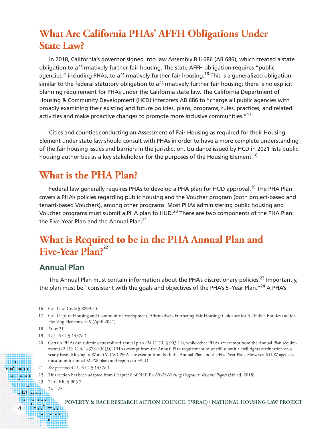# **What Are California PHAs' AFFH Obligations Under State Law?**

In 2018, California's governor signed into law Assembly Bill 686 (AB 686), which created a state obligation to affirmatively further fair housing. The state AFFH obligation requires "public agencies," including PHAs, to affirmatively further fair housing.<sup>16</sup> This is a generalized obligation similar to the federal statutory obligation to affirmatively further fair housing; there is no explicit planning requirement for PHAs under the California state law. The California Department of Housing & Community Development (HCD) interprets AB 686 to "charge all public agencies with broadly examining their existing and future policies, plans, programs, rules, practices, and related activities and make proactive changes to promote more inclusive communities."<sup>17</sup>

Cities and counties conducting an Assessment of Fair Housing as required for their Housing Element under state law should consult with PHAs in order to have a more complete understanding of the fair housing issues and barriers in the jurisdiction. Guidance issued by HCD in 2021 lists public housing authorities as a key stakeholder for the purposes of the Housing Element.<sup>18</sup>

# **What is the PHA Plan?**

Federal law generally requires PHAs to develop a PHA plan for HUD approval.<sup>19</sup> The PHA Plan covers a PHA's policies regarding public housing and the Voucher program (both project-based and tenant-based Vouchers), among other programs. Most PHAs administering public housing and Voucher programs must submit a PHA plan to HUD.<sup>20</sup> There are two components of the PHA Plan: the Five-Year Plan and the Annual Plan.<sup>21</sup>

# **What is Required to be in the PHA Annual Plan and**  Five-Year Plan?<sup>22</sup>

## **Annual Plan**

The Annual Plan must contain information about the PHA's discretionary policies.<sup>23</sup> Importantly, the plan must be "consistent with the goals and objectives of the PHA's 5-Year Plan."<sup>24</sup> A PHA's

\_\_\_\_\_\_\_\_\_\_\_\_\_\_\_\_\_\_\_\_\_\_\_\_\_\_\_\_\_\_\_\_\_\_\_\_\_\_\_\_\_\_\_\_\_\_\_\_\_\_\_\_\_\_\_

- 21 *See generally* 42 U.S.C. § 1437c-1.
- 22 This section has been adapted from Chapter 8 of NHLP's *HUD Housing Programs: Tenants' Rights* (5th ed. 2018).
- 23 24 C.F.R. § 903.7.
	- 24 *Id.*

998 **DR** ₩

<sup>16</sup> Cal. Gov. Code § 8899.50.

<sup>17</sup> Cal. Dep't of Housing and Community Development, Affirmatively Furthering Fair Housing: Guidance for All Public Entities and for Housing Elements, at 9 (April 2021).

<sup>18</sup> *Id.* at 21.

<sup>19</sup> 42 U.S.C. § 1437c-1.

<sup>20</sup> Certain PHAs can submit a streamlined annual plan (24 C.F.R. § 903.11), while other PHAs are exempt from the Annual Plan requirement (42 U.S.C. § 1437c-1(b)(3)). PHAs exempt from the Annual Plan requirement must still submit a civil rights certification on a yearly basis. Moving to Work (MTW) PHAs are exempt from both the Annual Plan and the Five-Year Plan. However, MTW agencies must submit annual MTW plans and reports to HUD.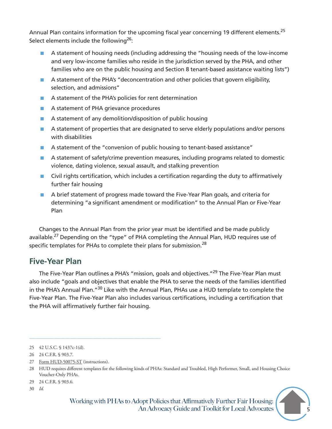Annual Plan contains information for the upcoming fiscal year concerning 19 different elements.<sup>25</sup> Select elements include the following<sup>26</sup>:

- A statement of housing needs (including addressing the "housing needs of the low-income and very low-income families who reside in the jurisdiction served by the PHA, and other families who are on the public housing and Section 8 tenant-based assistance waiting lists")
- **n** A statement of the PHA's "deconcentration and other policies that govern eligibility, selection, and admissions"
- A statement of the PHA's policies for rent determination
- **n** A statement of PHA grievance procedures
- $\blacksquare$  A statement of any demolition/disposition of public housing
- n A statement of properties that are designated to serve elderly populations and/or persons with disabilities
- A statement of the "conversion of public housing to tenant-based assistance"
- A statement of safety/crime prevention measures, including programs related to domestic violence, dating violence, sexual assault, and stalking prevention
- Civil rights certification, which includes a certification regarding the duty to affirmatively further fair housing
- n A brief statement of progress made toward the Five-Year Plan goals, and criteria for determining "a significant amendment or modification" to the Annual Plan or Five-Year Plan

Changes to the Annual Plan from the prior year must be identified and be made publicly available.<sup>27</sup> Depending on the "type" of PHA completing the Annual Plan, HUD requires use of specific templates for PHAs to complete their plans for submission.<sup>28</sup>

## **Five-Year Plan**

The Five-Year Plan outlines a PHA's "mission, goals and objectives."<sup>29</sup> The Five-Year Plan must also include "goals and objectives that enable the PHA to serve the needs of the families identified in the PHA's Annual Plan."30 Like with the Annual Plan, PHAs use a HUD template to complete the Five-Year Plan. The Five-Year Plan also includes various certifications, including a certification that the PHA will affirmatively further fair housing.

27 Form HUD-50075-ST (instructions).

\_\_\_\_\_\_\_\_\_\_\_\_\_\_\_\_\_\_\_\_\_\_\_\_\_\_\_\_\_\_\_\_\_\_\_\_\_\_\_\_\_\_\_\_\_\_\_\_\_\_\_\_\_\_\_



Working with PHAs to Adopt Policies that Affirmatively Further Fair Housing: An Advocacy Guide and Toolkit for Local Advocates

<sup>25</sup> 42 U.S.C. § 1437c-1(d).

<sup>26</sup> 24 C.F.R. § 903.7.

<sup>28</sup> HUD requires different templates for the following kinds of PHAs: Standard and Troubled, High Performer, Small, and Housing Choice Voucher-Only PHAs.

<sup>29</sup> 24 C.F.R. § 903.6.

<sup>30</sup> *Id.*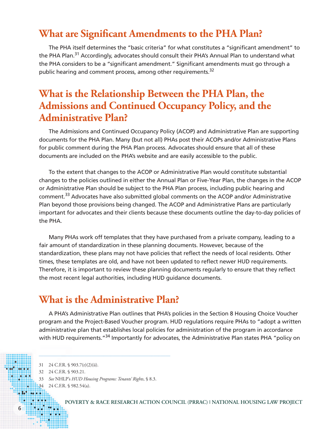# **What are Significant Amendments to the PHA Plan?**

The PHA itself determines the "basic criteria" for what constitutes a "significant amendment" to the PHA Plan.<sup>31</sup> Accordingly, advocates should consult their PHA's Annual Plan to understand what the PHA considers to be a "significant amendment." Significant amendments must go through a public hearing and comment process, among other requirements.<sup>32</sup>

# **What is the Relationship Between the PHA Plan, the Admissions and Continued Occupancy Policy, and the Administrative Plan?**

The Admissions and Continued Occupancy Policy (ACOP) and Administrative Plan are supporting documents for the PHA Plan. Many (but not all) PHAs post their ACOPs and/or Administrative Plans for public comment during the PHA Plan process. Advocates should ensure that all of these documents are included on the PHA's website and are easily accessible to the public.

To the extent that changes to the ACOP or Administrative Plan would constitute substantial changes to the policies outlined in either the Annual Plan or Five-Year Plan, the changes in the ACOP or Administrative Plan should be subject to the PHA Plan process, including public hearing and comment.<sup>33</sup> Advocates have also submitted global comments on the ACOP and/or Administrative Plan beyond those provisions being changed. The ACOP and Administrative Plans are particularly important for advocates and their clients because these documents outline the day-to-day policies of the PHA.

Many PHAs work off templates that they have purchased from a private company, leading to a fair amount of standardization in these planning documents. However, because of the standardization, these plans may not have policies that reflect the needs of local residents. Other times, these templates are old, and have not been updated to reflect newer HUD requirements. Therefore, it is important to review these planning documents regularly to ensure that they reflect the most recent legal authorities, including HUD guidance documents.

# **What is the Administrative Plan?**

A PHA's Administrative Plan outlines that PHA's policies in the Section 8 Housing Choice Voucher program and the Project-Based Voucher program. HUD regulations require PHAs to "adopt a written administrative plan that establishes local policies for administration of the program in accordance with HUD requirements."<sup>34</sup> Importantly for advocates, the Administrative Plan states PHA "policy on

6

 $\_$  , and the set of the set of the set of the set of the set of the set of the set of the set of the set of the set of the set of the set of the set of the set of the set of the set of the set of the set of the set of th

<sup>31</sup> 24 C.F.R. § 903.7(r)(2)(ii).

<sup>32</sup> 24 C.F.R. § 903.21.

<sup>33</sup> *See* NHLP's *HUD Housing Programs: Tenants' Rights*, § 8.3.

<sup>34</sup> 24 C.F.R. § 982.54(a).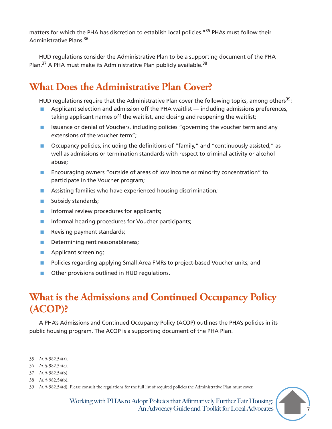matters for which the PHA has discretion to establish local policies."<sup>35</sup> PHAs must follow their Administrative Plans.36

HUD regulations consider the Administrative Plan to be a supporting document of the PHA Plan.<sup>37</sup> A PHA must make its Administrative Plan publicly available.<sup>38</sup>

# **What Does the Administrative Plan Cover?**

HUD regulations require that the Administrative Plan cover the following topics, among others<sup>39</sup>:

- **n** Applicant selection and admission off the PHA waitlist  $-$  including admissions preferences, taking applicant names off the waitlist, and closing and reopening the waitlist;
- **n** Issuance or denial of Vouchers, including policies "governing the voucher term and any extensions of the voucher term";
- Occupancy policies, including the definitions of "family," and "continuously assisted," as well as admissions or termination standards with respect to criminal activity or alcohol abuse;
- **n** Encouraging owners "outside of areas of low income or minority concentration" to participate in the Voucher program;
- **n** Assisting families who have experienced housing discrimination;
- **n** Subsidy standards;
- **n** Informal review procedures for applicants;
- $\blacksquare$  Informal hearing procedures for Voucher participants;
- **n** Revising payment standards;
- Determining rent reasonableness;
- **n** Applicant screening;
- **n** Policies regarding applying Small Area FMRs to project-based Voucher units; and
- **n** Other provisions outlined in HUD regulations.

\_\_\_\_\_\_\_\_\_\_\_\_\_\_\_\_\_\_\_\_\_\_\_\_\_\_\_\_\_\_\_\_\_\_\_\_\_\_\_\_\_\_\_\_\_\_\_\_\_\_\_\_\_\_\_

# **What is the Admissions and Continued Occupancy Policy (ACOP)?**

A PHA's Admissions and Continued Occupancy Policy (ACOP) outlines the PHA's policies in its public housing program. The ACOP is a supporting document of the PHA Plan.

38 *Id.* § 982.54(b).

<sup>39</sup> *Id.* § 982.54(d). Please consult the regulations for the full list of required policies the Administrative Plan must cover.



Working with PHAs to Adopt Policies that Affirmatively Further Fair Housing: An Advocacy Guide and Toolkit for Local Advocates

<sup>35</sup> *Id.* § 982.54(a).

<sup>36</sup> *Id.* § 982.54(c).

<sup>37</sup> *Id.* § 982.54(b).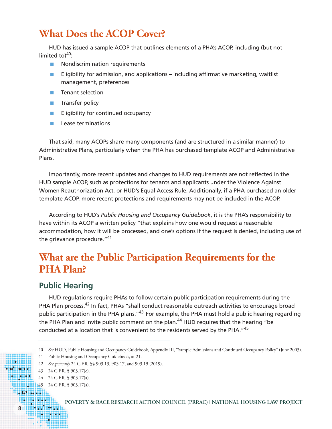# **What Does the ACOP Cover?**

HUD has issued a sample ACOP that outlines elements of a PHA's ACOP, including (but not limited to $)^{40}$ :

- **n** Nondiscrimination requirements
- **n** Eligibility for admission, and applications including affirmative marketing, waitlist management, preferences
- **n** Tenant selection
- **n** Transfer policy
- **n** Eligibility for continued occupancy
- **n** Lease terminations

That said, many ACOPs share many components (and are structured in a similar manner) to Administrative Plans, particularly when the PHA has purchased template ACOP and Administrative Plans.

Importantly, more recent updates and changes to HUD requirements are not reflected in the HUD sample ACOP, such as protections for tenants and applicants under the Violence Against Women Reauthorization Act, or HUD's Equal Access Rule. Additionally, if a PHA purchased an older template ACOP, more recent protections and requirements may not be included in the ACOP.

According to HUD's *Public Housing and Occupancy Guidebook*, it is the PHA's responsibility to have within its ACOP a written policy "that explains how one would request a reasonable accommodation, how it will be processed, and one's options if the request is denied, including use of the grievance procedure."<sup>41</sup>

# **What are the Public Participation Requirements for the PHA Plan?**

## **Public Hearing**

HUD regulations require PHAs to follow certain public participation requirements during the PHA Plan process.<sup>42</sup> In fact, PHAs "shall conduct reasonable outreach activities to encourage broad public participation in the PHA plans."<sup>43</sup> For example, the PHA must hold a public hearing regarding the PHA Plan and invite public comment on the plan.<sup>44</sup> HUD requires that the hearing "be conducted at a location that is convenient to the residents served by the PHA."45

- 41 Public Housing and Occupancy Guidebook, at 21.
- 42 *See generally* 24 C.F.R. §§ 903.13, 903.17, and 903.19 (2019).

\_\_\_\_\_\_\_\_\_\_\_\_\_\_\_\_\_\_\_\_\_\_\_\_\_\_\_\_\_\_\_\_\_\_\_\_\_\_\_\_\_\_\_\_\_\_\_\_\_\_\_\_\_\_\_

<sup>40</sup> *See* HUD, Public Housing and Occupancy Guidebook, Appendix III, "Sample Admissions and Continued Occupancy Policy" (June 2003).

<sup>43</sup> 24 C.F.R. § 903.17(c).

<sup>44</sup> 24 C.F.R. § 903.17(a).

<sup>45</sup> 24 C.F.R. § 903.17(a).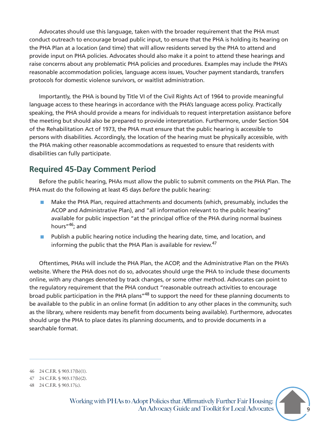Advocates should use this language, taken with the broader requirement that the PHA must conduct outreach to encourage broad public input, to ensure that the PHA is holding its hearing on the PHA Plan at a location (and time) that will allow residents served by the PHA to attend and provide input on PHA policies. Advocates should also make it a point to attend these hearings and raise concerns about any problematic PHA policies and procedures. Examples may include the PHA's reasonable accommodation policies, language access issues, Voucher payment standards, transfers protocols for domestic violence survivors, or waitlist administration.

Importantly, the PHA is bound by Title VI of the Civil Rights Act of 1964 to provide meaningful language access to these hearings in accordance with the PHA's language access policy. Practically speaking, the PHA should provide a means for individuals to request interpretation assistance before the meeting but should also be prepared to provide interpretation. Furthermore, under Section 504 of the Rehabilitation Act of 1973, the PHA must ensure that the public hearing is accessible to persons with disabilities. Accordingly, the location of the hearing must be physically accessible, with the PHA making other reasonable accommodations as requested to ensure that residents with disabilities can fully participate.

## **Required 45-Day Comment Period**

Before the public hearing, PHAs must allow the public to submit comments on the PHA Plan. The PHA must do the following at least 45 days *before* the public hearing:

- **n** Make the PHA Plan, required attachments and documents (which, presumably, includes the ACOP and Administrative Plan), and "all information relevant to the public hearing" available for public inspection "at the principal office of the PHA during normal business hours"46; and
- **n** Publish a public hearing notice including the hearing date, time, and location, and informing the public that the PHA Plan is available for review. $47$

Oftentimes, PHAs will include the PHA Plan, the ACOP, and the Administrative Plan on the PHA's website. Where the PHA does not do so, advocates should urge the PHA to include these documents online, with any changes denoted by track changes, or some other method. Advocates can point to the regulatory requirement that the PHA conduct "reasonable outreach activities to encourage broad public participation in the PHA plans<sup>"48</sup> to support the need for these planning documents to be available to the public in an online format (in addition to any other places in the community, such as the library, where residents may benefit from documents being available). Furthermore, advocates should urge the PHA to place dates its planning documents, and to provide documents in a searchable format.

\_\_\_\_\_\_\_\_\_\_\_\_\_\_\_\_\_\_\_\_\_\_\_\_\_\_\_\_\_\_\_\_\_\_\_\_\_\_\_\_\_\_\_\_\_\_\_\_\_\_\_\_\_\_\_



Working with PHAs to Adopt Policies that Affirmatively Further Fair Housing: An Advocacy Guide and Toolkit for Local Advocates

<sup>46</sup> 24 C.F.R. § 903.17(b)(1).

<sup>47</sup> 24 C.F.R. § 903.17(b)(2).

<sup>48</sup> 24 C.F.R. § 903.17(c).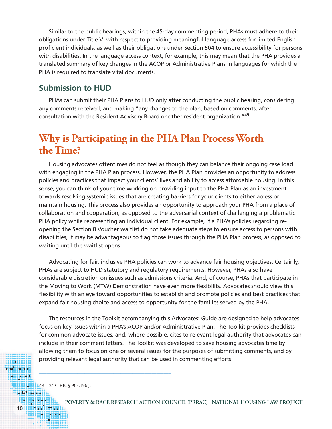Similar to the public hearings, within the 45-day commenting period, PHAs must adhere to their obligations under Title VI with respect to providing meaningful language access for limited English proficient individuals, as well as their obligations under Section 504 to ensure accessibility for persons with disabilities. In the language access context, for example, this may mean that the PHA provides a translated summary of key changes in the ACOP or Administrative Plans in languages for which the PHA is required to translate vital documents.

## **Submission to HUD**

PHAs can submit their PHA Plans to HUD only after conducting the public hearing, considering any comments received, and making "any changes to the plan, based on comments, after consultation with the Resident Advisory Board or other resident organization."49

# **Why is Participating in the PHA Plan Process Worth the Time?**

Housing advocates oftentimes do not feel as though they can balance their ongoing case load with engaging in the PHA Plan process. However, the PHA Plan provides an opportunity to address policies and practices that impact your clients' lives and ability to access affordable housing. In this sense, you can think of your time working on providing input to the PHA Plan as an investment towards resolving systemic issues that are creating barriers for your clients to either access or maintain housing. This process also provides an opportunity to approach your PHA from a place of collaboration and cooperation, as opposed to the adversarial context of challenging a problematic PHA policy while representing an individual client. For example, if a PHA's policies regarding reopening the Section 8 Voucher waitlist do not take adequate steps to ensure access to persons with disabilities, it may be advantageous to flag those issues through the PHA Plan process, as opposed to waiting until the waitlist opens.

Advocating for fair, inclusive PHA policies can work to advance fair housing objectives. Certainly, PHAs are subject to HUD statutory and regulatory requirements. However, PHAs also have considerable discretion on issues such as admissions criteria. And, of course, PHAs that participate in the Moving to Work (MTW) Demonstration have even more flexibility. Advocates should view this flexibility with an eye toward opportunities to establish and promote policies and best practices that expand fair housing choice and access to opportunity for the families served by the PHA.

The resources in the Toolkit accompanying this Advocates' Guide are designed to help advocates focus on key issues within a PHA's ACOP and/or Administrative Plan. The Toolkit provides checklists for common advocate issues, and, where possible, cites to relevant legal authority that advocates can include in their comment letters. The Toolkit was developed to save housing advocates time by allowing them to focus on one or several issues for the purposes of submitting comments, and by providing relevant legal authority that can be used in commenting efforts.

49 24 C.F.R. § 903.19(c).

\_\_\_\_\_\_\_\_\_\_\_\_\_\_\_\_\_\_\_\_\_\_\_\_\_\_\_\_\_\_\_\_\_\_\_\_\_\_\_\_\_\_\_\_\_\_\_\_\_\_\_\_\_\_\_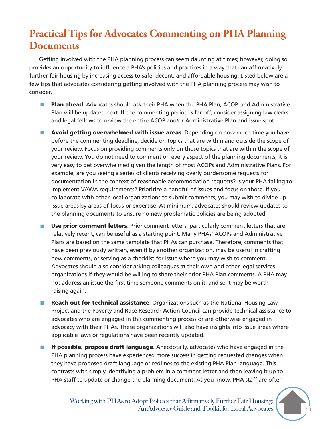# **Practical Tips for Advocates Commenting on PHA Planning Documents**

Getting involved with the PHA planning process can seem daunting at times; however, doing so provides an opportunity to influence a PHA's policies and practices in a way that can affirmatively further fair housing by increasing access to safe, decent, and affordable housing. Listed below are a few tips that advocates considering getting involved with the PHA planning process may wish to consider.

- **n Plan ahead**. Advocates should ask their PHA when the PHA Plan, ACOP, and Administrative Plan will be updated next. If the commenting period is far off, consider assigning law clerks and legal fellows to review the entire ACOP and/or Administrative Plan and issue spot.
- **n Avoid getting overwhelmed with issue areas**. Depending on how much time you have before the commenting deadline, decide on topics that are within and outside the scope of your review. Focus on providing comments only on those topics that are within the scope of your review. You do not need to comment on every aspect of the planning documents; it is very easy to get overwhelmed given the length of most ACOPs and Administrative Plans. For example, are you seeing a series of clients receiving overly burdensome requests for documentation in the context of reasonable accommodation requests? Is your PHA failing to implement VAWA requirements? Prioritize a handful of issues and focus on those. If you collaborate with other local organizations to submit comments, you may wish to divide up issue areas by areas of focus or expertise. At minimum, advocates should review updates to the planning documents to ensure no new problematic policies are being adopted.
- **Use prior comment letters**. Prior comment letters, particularly comment letters that are relatively recent, can be useful as a starting point. Many PHAs' ACOPs and Administrative Plans are based on the same template that PHAs can purchase. Therefore, comments that have been previously written, even if by another organization, may be useful in crafting new comments, or serving as a checklist for issue where you may wish to comment. Advocates should also consider asking colleagues at their own and other legal services organizations if they would be willing to share their prior PHA Plan comments. A PHA may not address an issue the first time someone comments on it, and so it may be worth raising again.
- **Reach out for technical assistance**. Organizations such as the National Housing Law Project and the Poverty and Race Research Action Council can provide technical assistance to advocates who are engaged in this commenting process or are otherwise engaged in advocacy with their PHAs. These organizations will also have insights into issue areas where applicable laws or regulations have been recently updated.
- **If possible, propose draft language**. Anecdotally, advocates who have engaged in the PHA planning process have experienced more success in getting requested changes when they have proposed draft language or redlines to the existing PHA Plan language. This contrasts with simply identifying a problem in a comment letter and then leaving it up to PHA staff to update or change the planning document. As you know, PHA staff are often

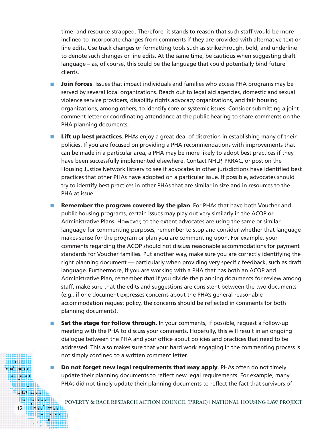time- and resource-strapped. Therefore, it stands to reason that such staff would be more inclined to incorporate changes from comments if they are provided with alternative text or line edits. Use track changes or formatting tools such as strikethrough, bold, and underline to denote such changes or line edits. At the same time, be cautious when suggesting draft language – as, of course, this could be the language that could potentially bind future clients.

- **Join forces**. Issues that impact individuals and families who access PHA programs may be served by several local organizations. Reach out to legal aid agencies, domestic and sexual violence service providers, disability rights advocacy organizations, and fair housing organizations, among others, to identify core or systemic issues. Consider submitting a joint comment letter or coordinating attendance at the public hearing to share comments on the PHA planning documents.
- Lift up best practices. PHAs enjoy a great deal of discretion in establishing many of their policies. If you are focused on providing a PHA recommendations with improvements that can be made in a particular area, a PHA may be more likely to adopt best practices if they have been successfully implemented elsewhere. Contact NHLP, PRRAC, or post on the Housing Justice Network listserv to see if advocates in other jurisdictions have identified best practices that other PHAs have adopted on a particular issue. If possible, advocates should try to identify best practices in other PHAs that are similar in size and in resources to the PHA at issue.
- Remember the program covered by the plan. For PHAs that have both Voucher and public housing programs, certain issues may play out very similarly in the ACOP or Administrative Plans. However, to the extent advocates are using the same or similar language for commenting purposes, remember to stop and consider whether that language makes sense for the program or plan you are commenting upon. For example, your comments regarding the ACOP should not discuss reasonable accommodations for payment standards for Voucher families. Put another way, make sure you are correctly identifying the right planning document — particularly when providing very specific feedback, such as draft language. Furthermore, if you are working with a PHA that has both an ACOP and Administrative Plan, remember that if you divide the planning documents for review among staff, make sure that the edits and suggestions are consistent between the two documents (e.g., if one document expresses concerns about the PHA's general reasonable accommodation request policy, the concerns should be reflected in comments for both planning documents).
- **Set the stage for follow through**. In your comments, if possible, request a follow-up meeting with the PHA to discuss your comments. Hopefully, this will result in an ongoing dialogue between the PHA and your office about policies and practices that need to be addressed. This also makes sure that your hard work engaging in the commenting process is not simply confined to a written comment letter.
- **Do not forget new legal requirements that may apply**. PHAs often do not timely update their planning documents to reflect new legal requirements. For example, many PHAs did not timely update their planning documents to reflect the fact that survivors of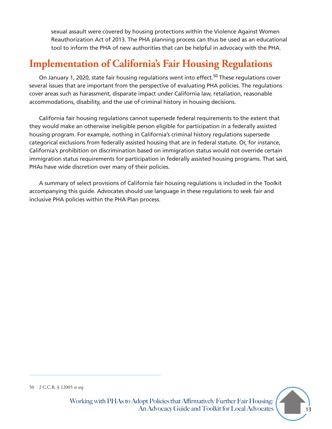sexual assault were covered by housing protections within the Violence Against Women Reauthorization Act of 2013. The PHA planning process can thus be used as an educational tool to inform the PHA of new authorities that can be helpful in advocacy with the PHA.

# **Implementation of California's Fair Housing Regulations**

On January 1, 2020, state fair housing regulations went into effect.<sup>50</sup> These regulations cover several issues that are important from the perspective of evaluating PHA policies. The regulations cover areas such as harassment, disparate impact under California law, retaliation, reasonable accommodations, disability, and the use of criminal history in housing decisions.

California fair housing regulations cannot supersede federal requirements to the extent that they would make an otherwise ineligible person eligible for participation in a federally assisted housing program. For example, nothing in California's criminal history regulations supersede categorical exclusions from federally assisted housing that are in federal statute. Or, for instance, California's prohibition on discrimination based on immigration status would not override certain immigration status requirements for participation in federally assisted housing programs. That said, PHAs have wide discretion over many of their policies.

A summary of select provisions of California fair housing regulations is included in the Toolkit accompanying this guide. Advocates should use language in these regulations to seek fair and inclusive PHA policies within the PHA Plan process.



\_\_\_\_\_\_\_\_\_\_\_\_\_\_\_\_\_\_\_\_\_\_\_\_\_\_\_\_\_\_\_\_\_\_\_\_\_\_\_\_\_\_\_\_\_\_\_\_\_\_\_\_\_\_\_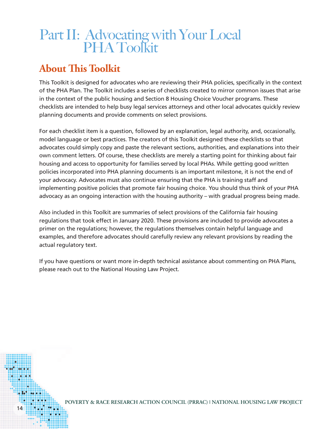# Part II: Advocating with Your Local<br>PHA Toolkit

# **About This Toolkit**

14

This Toolkit is designed for advocates who are reviewing their PHA policies, specifically in the context of the PHA Plan. The Toolkit includes a series of checklists created to mirror common issues that arise in the context of the public housing and Section 8 Housing Choice Voucher programs. These checklists are intended to help busy legal services attorneys and other local advocates quickly review planning documents and provide comments on select provisions.

For each checklist item is a question, followed by an explanation, legal authority, and, occasionally, model language or best practices. The creators of this Toolkit designed these checklists so that advocates could simply copy and paste the relevant sections, authorities, and explanations into their own comment letters. Of course, these checklists are merely a starting point for thinking about fair housing and access to opportunity for families served by local PHAs. While getting good written policies incorporated into PHA planning documents is an important milestone, it is not the end of your advocacy. Advocates must also continue ensuring that the PHA is training staff and implementing positive policies that promote fair housing choice. You should thus think of your PHA advocacy as an ongoing interaction with the housing authority – with gradual progress being made.

Also included in this Toolkit are summaries of select provisions of the California fair housing regulations that took effect in January 2020. These provisions are included to provide advocates a primer on the regulations; however, the regulations themselves contain helpful language and examples, and therefore advocates should carefully review any relevant provisions by reading the actual regulatory text.

If you have questions or want more in-depth technical assistance about commenting on PHA Plans, please reach out to the National Housing Law Project.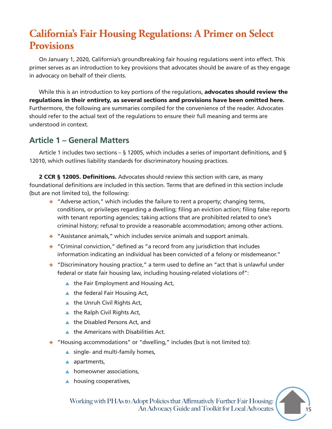# **California's Fair Housing Regulations: A Primer on Select Provisions**

On January 1, 2020, California's groundbreaking fair housing regulations went into effect. This primer serves as an introduction to key provisions that advocates should be aware of as they engage in advocacy on behalf of their clients.

While this is an introduction to key portions of the regulations, **advocates should review the regulations in their entirety, as several sections and provisions have been omitted here.** Furthermore, the following are summaries compiled for the convenience of the reader. Advocates should refer to the actual text of the regulations to ensure their full meaning and terms are understood in context.

## **Article 1 – General Matters**

Article 1 includes two sections – § 12005, which includes a series of important definitions, and § 12010, which outlines liability standards for discriminatory housing practices.

**2 CCR § 12005. Definitions.** Advocates should review this section with care, as many foundational definitions are included in this section. Terms that are defined in this section include (but are not limited to), the following:

- Adverse action," which includes the failure to rent a property; changing terms, conditions, or privileges regarding a dwelling; filing an eviction action; filing false reports with tenant reporting agencies; taking actions that are prohibited related to one's criminal history; refusal to provide a reasonable accommodation; among other actions.
- Assistance animals," which includes service animals and support animals.
- \* "Criminal conviction," defined as "a record from any jurisdiction that includes information indicating an individual has been convicted of a felony or misdemeanor."
- \* "Discriminatory housing practice," a term used to define an "act that is unlawful under federal or state fair housing law, including housing-related violations of":
	- $\triangle$  the Fair Employment and Housing Act,
	- $\triangle$  the federal Fair Housing Act,
	- $\triangle$  the Unruh Civil Rights Act,
	- $\triangle$  the Ralph Civil Rights Act,
	- $\triangle$  the Disabled Persons Act, and
	- $\triangle$  the Americans with Disabilities Act.
- \* "Housing accommodations" or "dwelling," includes (but is not limited to):
	- $\triangle$  single- and multi-family homes,
	- $\triangle$  apartments.
	- $\triangle$  homeowner associations,
	- $\triangle$  housing cooperatives,

Working with PHAs to Adopt Policies that Affirmatively Further Fair Housing: An Advocacy Guide and Toolkit for Local Advocates

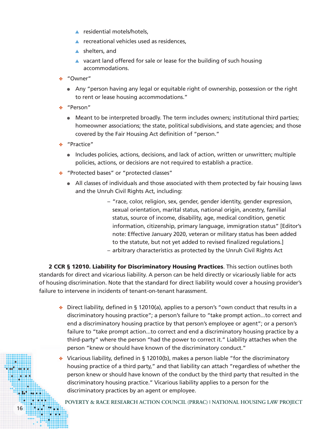- $\triangle$  residential motels/hotels,
- $\triangle$  recreational vehicles used as residences,
- $\triangle$  shelters, and
- $\triangle$  vacant land offered for sale or lease for the building of such housing accommodations.
- \* "Owner"
	- Any "person having any legal or equitable right of ownership, possession or the right to rent or lease housing accommodations."
- \* "Person"
	- $\bullet$  Meant to be interpreted broadly. The term includes owners; institutional third parties; homeowner associations; the state, political subdivisions, and state agencies; and those covered by the Fair Housing Act definition of "person."
- \* "Practice"

16

- Includes policies, actions, decisions, and lack of action, written or unwritten; multiple policies, actions, or decisions are not required to establish a practice.
- \* "Protected bases" or "protected classes"
	- $\bullet$  All classes of individuals and those associated with them protected by fair housing laws and the Unruh Civil Rights Act, including:
		- "race, color, religion, sex, gender, gender identity, gender expression, sexual orientation, marital status, national origin, ancestry, familial status, source of income, disability, age, medical condition, genetic information, citizenship, primary language, immigration status" [Editor's note: Effective January 2020, veteran or military status has been added to the statute, but not yet added to revised finalized regulations.] – arbitrary characteristics as protected by the Unruh Civil Rights Act

**2 CCR § 12010. Liability for Discriminatory Housing Practices**. This section outlines both standards for direct and vicarious liability. A person can be held directly or vicariously liable for acts of housing discrimination. Note that the standard for direct liability would cover a housing provider's failure to intervene in incidents of tenant-on-tenant harassment.

- $\bullet$  Direct liability, defined in § 12010(a), applies to a person's "own conduct that results in a discriminatory housing practice"; a person's failure to "take prompt action...to correct and end a discriminatory housing practice by that person's employee or agent"; or a person's failure to "take prompt action...to correct and end a discriminatory housing practice by a third-party" where the person "had the power to correct it." Liability attaches when the person "knew or should have known of the discriminatory conduct."
- $\bullet$  Vicarious liability, defined in § 12010(b), makes a person liable "for the discriminatory housing practice of a third party," and that liability can attach "regardless of whether the person knew or should have known of the conduct by the third party that resulted in the discriminatory housing practice." Vicarious liability applies to a person for the discriminatory practices by an agent or employee.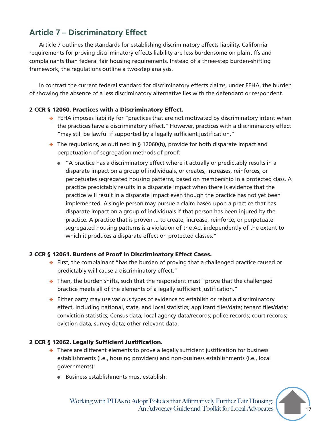## **Article 7 – Discriminatory Effect**

Article 7 outlines the standards for establishing discriminatory effects liability. California requirements for proving discriminatory effects liability are less burdensome on plaintiffs and complainants than federal fair housing requirements. Instead of a three-step burden-shifting framework, the regulations outline a two-step analysis.

In contrast the current federal standard for discriminatory effects claims, under FEHA, the burden of showing the absence of a less discriminatory alternative lies with the defendant or respondent.

#### **2 CCR § 12060. Practices with a Discriminatory Effect.**

- $\bullet$  FEHA imposes liability for "practices that are not motivated by discriminatory intent when the practices have a discriminatory effect." However, practices with a discriminatory effect "may still be lawful if supported by a legally sufficient justification."
- $\cdot$  The regulations, as outlined in § 12060(b), provide for both disparate impact and perpetuation of segregation methods of proof:
	- $\bullet$  "A practice has a discriminatory effect where it actually or predictably results in a disparate impact on a group of individuals, or creates, increases, reinforces, or perpetuates segregated housing patterns, based on membership in a protected class. A practice predictably results in a disparate impact when there is evidence that the practice will result in a disparate impact even though the practice has not yet been implemented. A single person may pursue a claim based upon a practice that has disparate impact on a group of individuals if that person has been injured by the practice. A practice that is proven ... to create, increase, reinforce, or perpetuate segregated housing patterns is a violation of the Act independently of the extent to which it produces a disparate effect on protected classes."

#### **2 CCR § 12061. Burdens of Proof in Discriminatory Effect Cases.**

- First, the complainant "has the burden of proving that a challenged practice caused or predictably will cause a discriminatory effect."
- $\bullet$  Then, the burden shifts, such that the respondent must "prove that the challenged practice meets all of the elements of a legally sufficient justification."
- $\bullet$  Either party may use various types of evidence to establish or rebut a discriminatory effect, including national, state, and local statistics; applicant files/data; tenant files/data; conviction statistics; Census data; local agency data/records; police records; court records; eviction data, survey data; other relevant data.

#### **2 CCR § 12062. Legally Sufficient Justification.**

- $\cdot$  There are different elements to prove a legally sufficient justification for business establishments (i.e., housing providers) and non-business establishments (i.e., local governments):
	- **Business establishments must establish:**



Working with PHAs to Adopt Policies that Affirmatively Further Fair Housing: An Advocacy Guide and Toolkit for Local Advocates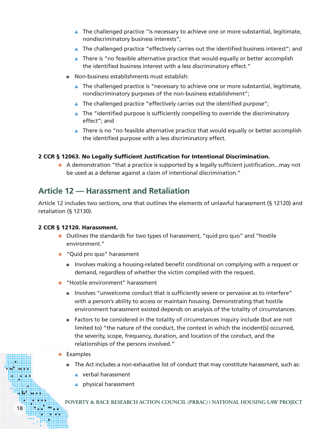- $\blacktriangle$  The challenged practice "is necessary to achieve one or more substantial, legitimate, nondiscriminatory business interests";
- $\blacktriangle$  The challenged practice "effectively carries out the identified business interest"; and
- $\blacktriangle$  There is "no feasible alternative practice that would equally or better accomplish the identified business interest with a less discriminatory effect."
- Non-business establishments must establish:
	- $\blacktriangle$  The challenged practice is "necessary to achieve one or more substantial, legitimate, nondiscriminatory purposes of the non-business establishment";
	- $\blacktriangle$  The challenged practice "effectively carries out the identified purpose";
	- $\blacktriangle$  The "identified purpose is sufficiently compelling to override the discriminatory effect"; and
	- $\blacktriangle$  There is no "no feasible alternative practice that would equally or better accomplish the identified purpose with a less discriminatory effect.

#### **2 CCR § 12063. No Legally Sufficient Justification for Intentional Discrimination.**

 $\bullet$  A demonstration "that a practice is supported by a legally sufficient justification...may not be used as a defense against a claim of intentional discrimination."

## **Article 12 — Harassment and Retaliation**

Article 12 includes two sections, one that outlines the elements of unlawful harassment (§ 12120) and retaliation (§ 12130).

#### **2 CCR § 12120. Harassment.**

- $\bullet$  Outlines the standards for two types of harassment, "quid pro quo" and "hostile environment."
- \* "Quid pro quo" harassment
	- $\bullet$  Involves making a housing-related benefit conditional on complying with a request or demand, regardless of whether the victim complied with the request.
- \* "Hostile environment" harassment
	- Involves "unwelcome conduct that is sufficiently severe or pervasive as to interfere" with a person's ability to access or maintain housing. Demonstrating that hostile environment harassment existed depends on analysis of the totality of circumstances.
	- $\bullet$  Factors to be considered in the totality of circumstances inquiry include (but are not limited to) "the nature of the conduct, the context in which the incident(s) occurred, the severity, scope, frequency, duration, and location of the conduct, and the relationships of the persons involved."
- $\div$  Examples

- $\bullet$  The Act includes a non-exhaustive list of conduct that may constitute harassment, such as:
	- $\triangle$  verbal harassment
	- $\blacktriangle$  physical harassment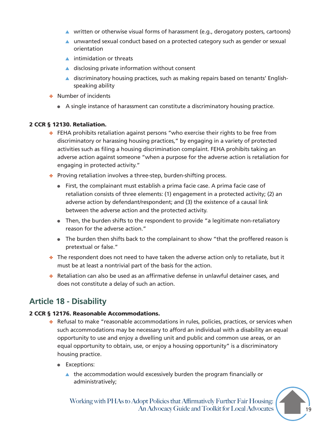- $\blacktriangle$  written or otherwise visual forms of harassment (e.g., derogatory posters, cartoons)
- $\triangle$  unwanted sexual conduct based on a protected category such as gender or sexual orientation
- $\triangle$  intimidation or threats
- $\triangle$  disclosing private information without consent
- $\triangle$  discriminatory housing practices, such as making repairs based on tenants' Englishspeaking ability
- $\cdot$  Number of incidents
	- $\bullet$  A single instance of harassment can constitute a discriminatory housing practice.

#### **2 CCR § 12130. Retaliation.**

- FEHA prohibits retaliation against persons "who exercise their rights to be free from discriminatory or harassing housing practices," by engaging in a variety of protected activities such as filing a housing discrimination complaint. FEHA prohibits taking an adverse action against someone "when a purpose for the adverse action is retaliation for engaging in protected activity."
- Proving retaliation involves a three-step, burden-shifting process.
	- $\bullet$  First, the complainant must establish a prima facie case. A prima facie case of retaliation consists of three elements: (1) engagement in a protected activity; (2) an adverse action by defendant/respondent; and (3) the existence of a causal link between the adverse action and the protected activity.
	- $\bullet$  Then, the burden shifts to the respondent to provide "a legitimate non-retaliatory reason for the adverse action."
	- $\bullet$  The burden then shifts back to the complainant to show "that the proffered reason is pretextual or false."
- $\cdot$  The respondent does not need to have taken the adverse action only to retaliate, but it must be at least a nontrivial part of the basis for the action.
- **B** Retaliation can also be used as an affirmative defense in unlawful detainer cases, and does not constitute a delay of such an action.

## **Article 18 - Disability**

#### **2 CCR § 12176. Reasonable Accommodations.**

- Refusal to make "reasonable accommodations in rules, policies, practices, or services when such accommodations may be necessary to afford an individual with a disability an equal opportunity to use and enjoy a dwelling unit and public and common use areas, or an equal opportunity to obtain, use, or enjoy a housing opportunity" is a discriminatory housing practice.
	- Exceptions:
		- $\triangle$  the accommodation would excessively burden the program financially or administratively;



Working with PHAs to Adopt Policies that Affirmatively Further Fair Housing: An Advocacy Guide and Toolkit for Local Advocates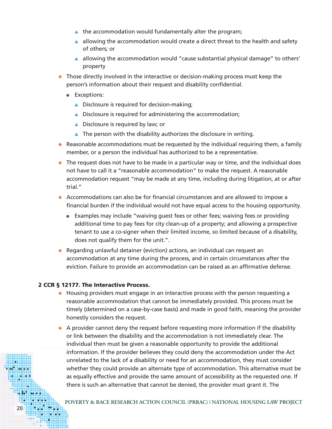- $\blacktriangle$  the accommodation would fundamentally alter the program;
- $\blacktriangle$  allowing the accommodation would create a direct threat to the health and safety of others; or
- $\blacktriangle$  allowing the accommodation would "cause substantial physical damage" to others' property
- $\cdot$  Those directly involved in the interactive or decision-making process must keep the person's information about their request and disability confidential.
	- Exceptions:
		- $\triangle$  Disclosure is required for decision-making;
		- $\triangle$  Disclosure is required for administering the accommodation;
		- $\blacktriangle$  Disclosure is required by law; or
		- $\blacktriangle$  The person with the disability authorizes the disclosure in writing.
- Reasonable accommodations must be requested by the individual requiring them, a family member, or a person the individual has authorized to be a representative.
- $\bullet$  The request does not have to be made in a particular way or time, and the individual does not have to call it a "reasonable accommodation" to make the request. A reasonable accommodation request "may be made at any time, including during litigation, at or after trial."
- Accommodations can also be for financial circumstances and are allowed to impose a financial burden if the individual would not have equal access to the housing opportunity.
	- $\bullet$  Examples may include "waiving quest fees or other fees; waiving fees or providing additional time to pay fees for city clean-up of a property; and allowing a prospective tenant to use a co-signer when their limited income, so limited because of a disability, does not qualify them for the unit.".
- **B** Regarding unlawful detainer (eviction) actions, an individual can request an accommodation at any time during the process, and in certain circumstances after the eviction. Failure to provide an accommodation can be raised as an affirmative defense.

#### **2 CCR § 12177. The Interactive Process.**

- $\bullet$  Housing providers must engage in an interactive process with the person requesting a reasonable accommodation that cannot be immediately provided. This process must be timely (determined on a case-by-case basis) and made in good faith, meaning the provider honestly considers the request.
- A provider cannot deny the request before requesting more information if the disability or link between the disability and the accommodation is not immediately clear. The individual then must be given a reasonable opportunity to provide the additional information. If the provider believes they could deny the accommodation under the Act unrelated to the lack of a disability or need for an accommodation, they must consider whether they could provide an alternate type of accommodation. This alternative must be as equally effective and provide the same amount of accessibility as the requested one. If there is such an alternative that cannot be denied, the provider must grant it. The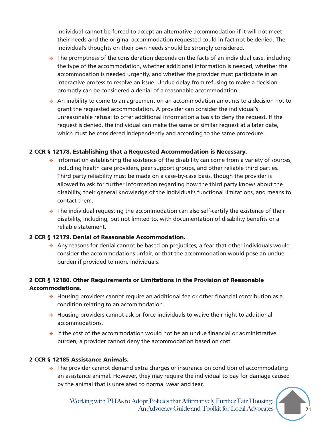individual cannot be forced to accept an alternative accommodation if it will not meet their needs and the original accommodation requested could in fact not be denied. The individual's thoughts on their own needs should be strongly considered.

- $\bullet$  The promptness of the consideration depends on the facts of an individual case, including the type of the accommodation, whether additional information is needed, whether the accommodation is needed urgently, and whether the provider must participate in an interactive process to resolve an issue. Undue delay from refusing to make a decision promptly can be considered a denial of a reasonable accommodation.
- An inability to come to an agreement on an accommodation amounts to a decision not to grant the requested accommodation. A provider can consider the individual's unreasonable refusal to offer additional information a basis to deny the request. If the request is denied, the individual can make the same or similar request at a later date, which must be considered independently and according to the same procedure.

#### **2 CCR § 12178. Establishing that a Requested Accommodation is Necessary.**

- $\cdot$  Information establishing the existence of the disability can come from a variety of sources, including health care providers, peer support groups, and other reliable third parties. Third party reliability must be made on a case-by-case basis, though the provider is allowed to ask for further information regarding how the third party knows about the disability, their general knowledge of the individual's functional limitations, and means to contact them.
- $\cdot$  The individual requesting the accommodation can also self-certify the existence of their disability, including, but not limited to, with documentation of disability benefits or a reliable statement.

#### **2 CCR § 12179. Denial of Reasonable Accommodation.**

Any reasons for denial cannot be based on prejudices, a fear that other individuals would consider the accommodations unfair, or that the accommodation would pose an undue burden if provided to more individuals.

#### **2 CCR § 12180. Other Requirements or Limitations in the Provision of Reasonable Accommodations.**

- $\bullet$  Housing providers cannot require an additional fee or other financial contribution as a condition relating to an accommodation.
- $\bullet$  Housing providers cannot ask or force individuals to waive their right to additional accommodations.
- $\cdot$  If the cost of the accommodation would not be an undue financial or administrative burden, a provider cannot deny the accommodation based on cost.

#### **2 CCR § 12185 Assistance Animals.**

 $\cdot$  The provider cannot demand extra charges or insurance on condition of accommodating an assistance animal. However, they may require the individual to pay for damage caused by the animal that is unrelated to normal wear and tear.



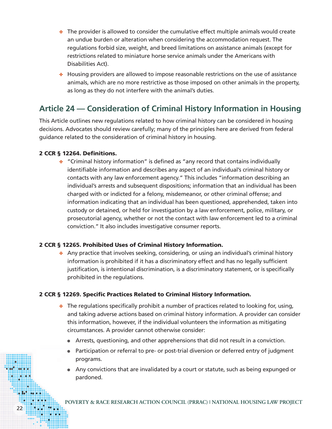- $\bullet$  The provider is allowed to consider the cumulative effect multiple animals would create an undue burden or alteration when considering the accommodation request. The regulations forbid size, weight, and breed limitations on assistance animals (except for restrictions related to miniature horse service animals under the Americans with Disabilities Act).
- $\bullet$  Housing providers are allowed to impose reasonable restrictions on the use of assistance animals, which are no more restrictive as those imposed on other animals in the property, as long as they do not interfere with the animal's duties.

## **Article 24 — Consideration of Criminal History Information in Housing**

This Article outlines new regulations related to how criminal history can be considered in housing decisions. Advocates should review carefully; many of the principles here are derived from federal guidance related to the consideration of criminal history in housing.

#### **2 CCR § 12264. Definitions.**

22

**Criminal history information" is defined as "any record that contains individually** identifiable information and describes any aspect of an individual's criminal history or contacts with any law enforcement agency." This includes "information describing an individual's arrests and subsequent dispositions; information that an individual has been charged with or indicted for a felony, misdemeanor, or other criminal offense; and information indicating that an individual has been questioned, apprehended, taken into custody or detained, or held for investigation by a law enforcement, police, military, or prosecutorial agency, whether or not the contact with law enforcement led to a criminal conviction." It also includes investigative consumer reports.

#### **2 CCR § 12265. Prohibited Uses of Criminal History Information.**

Any practice that involves seeking, considering, or using an individual's criminal history information is prohibited if it has a discriminatory effect and has no legally sufficient justification, is intentional discrimination, is a discriminatory statement, or is specifically prohibited in the regulations.

#### **2 CCR § 12269. Specific Practices Related to Criminal History Information.**

- $\bullet$  The regulations specifically prohibit a number of practices related to looking for, using, and taking adverse actions based on criminal history information. A provider can consider this information, however, if the individual volunteers the information as mitigating circumstances. A provider cannot otherwise consider:
	- $\bullet$  Arrests, questioning, and other apprehensions that did not result in a conviction.
	- Participation or referral to pre- or post-trial diversion or deferred entry of judgment programs.
	- $\bullet$  Any convictions that are invalidated by a court or statute, such as being expunged or pardoned.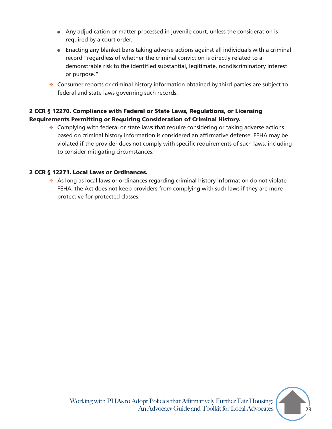- $\bullet$  Any adjudication or matter processed in juvenile court, unless the consideration is required by a court order.
- $\bullet$  Enacting any blanket bans taking adverse actions against all individuals with a criminal record "regardless of whether the criminal conviction is directly related to a demonstrable risk to the identified substantial, legitimate, nondiscriminatory interest or purpose."
- $\bullet$  Consumer reports or criminal history information obtained by third parties are subject to federal and state laws governing such records.

#### **2 CCR § 12270. Compliance with Federal or State Laws, Regulations, or Licensing Requirements Permitting or Requiring Consideration of Criminal History.**

 $\bullet$  Complying with federal or state laws that require considering or taking adverse actions based on criminal history information is considered an affirmative defense. FEHA may be violated if the provider does not comply with specific requirements of such laws, including to consider mitigating circumstances.

#### **2 CCR § 12271. Local Laws or Ordinances.**

As long as local laws or ordinances regarding criminal history information do not violate FEHA, the Act does not keep providers from complying with such laws if they are more protective for protected classes.

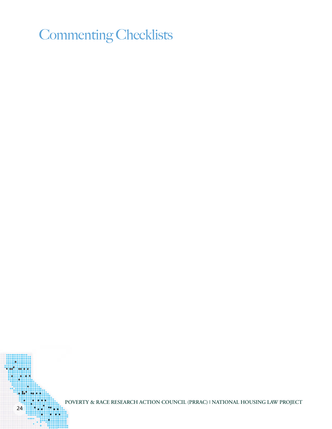# Commenting Checklists

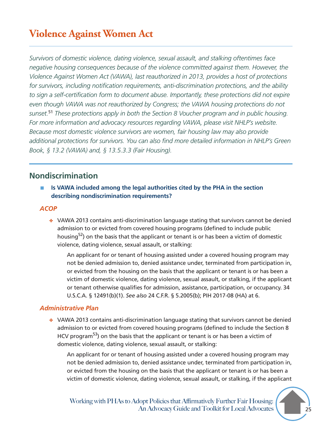*Survivors of domestic violence, dating violence, sexual assault, and stalking oftentimes face negative housing consequences because of the violence committed against them. However, the Violence Against Women Act (VAWA), last reauthorized in 2013, provides a host of protections for survivors, including notification requirements, anti-discrimination protections, and the ability to sign a self-certification form to document abuse. Importantly, these protections did not expire even though VAWA was not reauthorized by Congress; the VAWA housing protections do not sunset.*<sup>51</sup> *These protections apply in both the Section 8 Voucher program and in public housing. For more information and advocacy resources regarding VAWA, please visit NHLP's website. Because most domestic violence survivors are women, fair housing law may also provide additional protections for survivors. You can also find more detailed information in NHLP's Green Book, § 13.2 (VAWA) and, § 13.5.3.3 (Fair Housing).* 

## **Nondiscrimination**

**I** Is VAWA included among the legal authorities cited by the PHA in the section **describing nondiscrimination requirements?**

#### *ACOP*

 $\cdot$  VAWA 2013 contains anti-discrimination language stating that survivors cannot be denied admission to or evicted from covered housing programs (defined to include public housing<sup>52</sup>) on the basis that the applicant or tenant is or has been a victim of domestic violence, dating violence, sexual assault, or stalking:

An applicant for or tenant of housing assisted under a covered housing program may not be denied admission to, denied assistance under, terminated from participation in, or evicted from the housing on the basis that the applicant or tenant is or has been a victim of domestic violence, dating violence, sexual assault, or stalking, if the applicant or tenant otherwise qualifies for admission, assistance, participation, or occupancy. 34 U.S.C.A. § 12491(b)(1). *See also* 24 C.F.R. § 5.2005(b); PIH 2017-08 (HA) at 6.

#### *Administrative Plan*

 $\cdot$  VAWA 2013 contains anti-discrimination language stating that survivors cannot be denied admission to or evicted from covered housing programs (defined to include the Section 8 HCV program<sup>53</sup>) on the basis that the applicant or tenant is or has been a victim of domestic violence, dating violence, sexual assault, or stalking:

An applicant for or tenant of housing assisted under a covered housing program may not be denied admission to, denied assistance under, terminated from participation in, or evicted from the housing on the basis that the applicant or tenant is or has been a victim of domestic violence, dating violence, sexual assault, or stalking, if the applicant

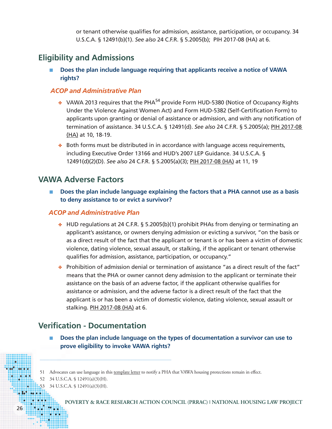or tenant otherwise qualifies for admission, assistance, participation, or occupancy. 34 U.S.C.A. § 12491(b)(1). *See also* 24 C.F.R. § 5.2005(b); PIH 2017-08 (HA) at 6.

## **Eligibility and Admissions**

n **Does the plan include language requiring that applicants receive a notice of VAWA rights?**

#### *ACOP and Administrative Plan*

- $\cdot$  VAWA 2013 requires that the PHA<sup>54</sup> provide Form HUD-5380 (Notice of Occupancy Rights Under the Violence Against Women Act) and Form HUD-5382 (Self-Certification Form) to applicants upon granting or denial of assistance or admission, and with any notification of termination of assistance. 34 U.S.C.A. § 12491(d). *See also* 24 C.F.R. § 5.2005(a); PIH 2017-08 (HA) at 10, 18-19.
- $\bullet$  Both forms must be distributed in in accordance with language access requirements, including Executive Order 13166 and HUD's 2007 LEP Guidance. 34 U.S.C.A. § 12491(d)(2)(D). *See also* 24 C.F.R. § 5.2005(a)(3); PIH 2017-08 (HA) at 11, 19

## **VAWA Adverse Factors**

n **Does the plan include language explaining the factors that a PHA cannot use as a basis to deny assistance to or evict a survivor?** 

#### *ACOP and Administrative Plan*

- $\cdot$  HUD regulations at 24 C.F.R. § 5.2005(b)(1) prohibit PHAs from denying or terminating an applicant's assistance, or owners denying admission or evicting a survivor, "on the basis or as a direct result of the fact that the applicant or tenant is or has been a victim of domestic violence, dating violence, sexual assault, or stalking, if the applicant or tenant otherwise qualifies for admission, assistance, participation, or occupancy."
- Prohibition of admission denial or termination of assistance "as a direct result of the fact" means that the PHA or owner cannot deny admission to the applicant or terminate their assistance on the basis of an adverse factor, if the applicant otherwise qualifies for assistance or admission, and the adverse factor is a direct result of the fact that the applicant is or has been a victim of domestic violence, dating violence, sexual assault or stalking. PIH 2017-08 (HA) at 6.

## **Verification - Documentation**

\_\_\_\_\_\_\_\_\_\_\_\_\_\_\_\_\_\_\_\_\_\_\_\_\_\_\_\_\_\_\_\_\_\_\_\_\_\_\_\_\_\_\_\_\_\_\_\_\_\_\_\_\_\_\_

- Does the plan include language on the types of documentation a survivor can use to **prove eligibility to invoke VAWA rights?**
- 51 Advocates can use language in this template letter to notify a PHA that VAWA housing protections remain in effect.
- 52 34 U.S.C.A. § 12491(a)(3)(H).
- 53 34 U.S.C.A. § 12491(a)(3)(H).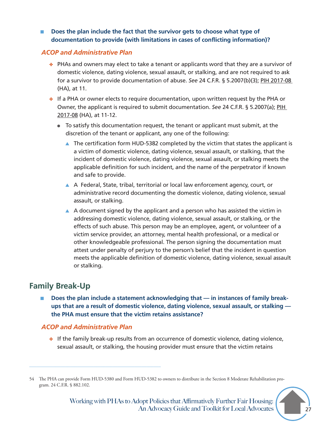#### **n** Does the plan include the fact that the survivor gets to choose what type of **documentation to provide (with limitations in cases of conflicting information)?**

#### *ACOP and Administrative Plan*

- $\bullet$  PHAs and owners may elect to take a tenant or applicants word that they are a survivor of domestic violence, dating violence, sexual assault, or stalking, and are not required to ask for a survivor to provide documentation of abuse. *See* 24 C.F.R. § 5.2007(b)(3); PIH 2017-08 (HA), at 11.
- $\bullet$  If a PHA or owner elects to require documentation, upon written request by the PHA or Owner, the applicant is required to submit documentation. *See* 24 C.F.R. § 5.2007(a); PIH 2017-08 (HA), at 11-12.
	- $\bullet$  To satisfy this documentation request, the tenant or applicant must submit, at the discretion of the tenant or applicant, any one of the following:
		- $\triangle$  The certification form HUD-5382 completed by the victim that states the applicant is a victim of domestic violence, dating violence, sexual assault, or stalking, that the incident of domestic violence, dating violence, sexual assault, or stalking meets the applicable definition for such incident, and the name of the perpetrator if known and safe to provide.
		- $\blacktriangle$  A Federal, State, tribal, territorial or local law enforcement agency, court, or administrative record documenting the domestic violence, dating violence, sexual assault, or stalking.
		- $\blacktriangle$  A document signed by the applicant and a person who has assisted the victim in addressing domestic violence, dating violence, sexual assault, or stalking, or the effects of such abuse. This person may be an employee, agent, or volunteer of a victim service provider, an attorney, mental health professional, or a medical or other knowledgeable professional. The person signing the documentation must attest under penalty of perjury to the person's belief that the incident in question meets the applicable definition of domestic violence, dating violence, sexual assault or stalking.

## **Family Break-Up**

**n** Does the plan include a statement acknowledging that — in instances of family break**ups that are a result of domestic violence, dating violence, sexual assault, or stalking the PHA must ensure that the victim retains assistance?**

#### *ACOP and Administrative Plan*

\_\_\_\_\_\_\_\_\_\_\_\_\_\_\_\_\_\_\_\_\_\_\_\_\_\_\_\_\_\_\_\_\_\_\_\_\_\_\_\_\_\_\_\_\_\_\_\_\_\_\_\_\_\_\_

 $\cdot$  If the family break-up results from an occurrence of domestic violence, dating violence, sexual assault, or stalking, the housing provider must ensure that the victim retains

<sup>54</sup> The PHA can provide Form HUD-5380 and Form HUD-5382 to owners to distribute in the Section 8 Moderate Rehabilitation program. 24 C.F.R. § 882.102.



Working with PHAs to Adopt Policies that Affirmatively Further Fair Housing: An Advocacy Guide and Toolkit for Local Advocates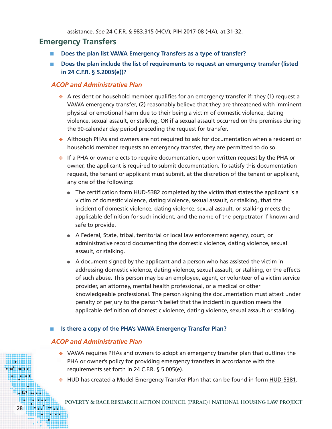### **Emergency Transfers**

- n **Does the plan list VAWA Emergency Transfers as a type of transfer?**
- **n** Does the plan include the list of requirements to request an emergency transfer (listed **in 24 C.F.R. § 5.2005(e))?**

#### *ACOP and Administrative Plan*

- A resident or household member qualifies for an emergency transfer if: they (1) request a VAWA emergency transfer, (2) reasonably believe that they are threatened with imminent physical or emotional harm due to their being a victim of domestic violence, dating violence, sexual assault, or stalking, OR if a sexual assault occurred on the premises during the 90-calendar day period preceding the request for transfer.
- $\bullet$  Although PHAs and owners are not required to ask for documentation when a resident or household member requests an emergency transfer, they are permitted to do so.
- If a PHA or owner elects to require documentation, upon written request by the PHA or owner, the applicant is required to submit documentation. To satisfy this documentation request, the tenant or applicant must submit, at the discretion of the tenant or applicant, any one of the following:
	- $\bullet$  The certification form HUD-5382 completed by the victim that states the applicant is a victim of domestic violence, dating violence, sexual assault, or stalking, that the incident of domestic violence, dating violence, sexual assault, or stalking meets the applicable definition for such incident, and the name of the perpetrator if known and safe to provide.
	- A Federal, State, tribal, territorial or local law enforcement agency, court, or administrative record documenting the domestic violence, dating violence, sexual assault, or stalking.
	- $\bullet$  A document signed by the applicant and a person who has assisted the victim in addressing domestic violence, dating violence, sexual assault, or stalking, or the effects of such abuse. This person may be an employee, agent, or volunteer of a victim service provider, an attorney, mental health professional, or a medical or other knowledgeable professional. The person signing the documentation must attest under penalty of perjury to the person's belief that the incident in question meets the applicable definition of domestic violence, dating violence, sexual assault or stalking.

#### ■ **Is there a copy of the PHA's VAWA Emergency Transfer Plan?**

#### *ACOP and Administrative Plan*

- $\cdot$  VAWA requires PHAs and owners to adopt an emergency transfer plan that outlines the PHA or owner's policy for providing emergency transfers in accordance with the requirements set forth in 24 C.F.R. § 5.005(e).
- $\cdot$  HUD has created a Model Emergency Transfer Plan that can be found in form HUD-5381.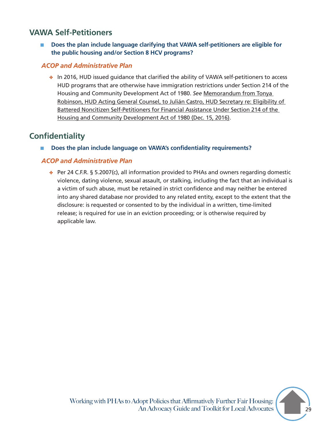## **VAWA Self-Petitioners**

■ Does the plan include language clarifying that VAWA self-petitioners are eligible for **the public housing and/or Section 8 HCV programs?**

#### *ACOP and Administrative Plan*

In 2016, HUD issued guidance that clarified the ability of VAWA self-petitioners to access HUD programs that are otherwise have immigration restrictions under Section 214 of the Housing and Community Development Act of 1980. *See* Memorandum from Tonya Robinson, HUD Acting General Counsel, to Julián Castro, HUD Secretary re: Eligibility of Battered Noncitizen Self-Petitioners for Financial Assistance Under Section 214 of the Housing and Community Development Act of 1980 (Dec. 15, 2016).

## **Confidentiality**

■ Does the plan include language on VAWA's confidentiality requirements?

#### *ACOP and Administrative Plan*

Per 24 C.F.R. § 5.2007(c), all information provided to PHAs and owners regarding domestic violence, dating violence, sexual assault, or stalking, including the fact that an individual is a victim of such abuse, must be retained in strict confidence and may neither be entered into any shared database nor provided to any related entity, except to the extent that the disclosure: is requested or consented to by the individual in a written, time-limited release; is required for use in an eviction proceeding; or is otherwise required by applicable law.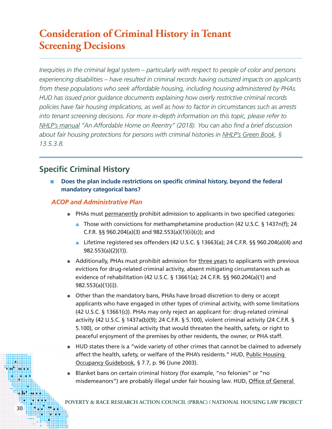# **Consideration of Criminal History in Tenant Screening Decisions**

*Inequities in the criminal legal system – particularly with respect to people of color and persons experiencing disabilities – have resulted in criminal records having outsized impacts on applicants from these populations who seek affordable housing, including housing administered by PHAs. HUD has issued prior guidance documents explaining how overly restrictive criminal records policies have fair housing implications, as well as how to factor in circumstances such as arrests into tenant screening decisions. For more in-depth information on this topic, please refer to NHLP's manual "An Affordable Home on Reentry" (2018). You can also find a brief discussion about fair housing protections for persons with criminal histories in NHLP's Green Book, § 13.5.3.8.*

## **Specific Criminal History**

30

n **Does the plan include restrictions on specific criminal history, beyond the federal mandatory categorical bans?**

#### *ACOP and Administrative Plan*

- PHAs must permanently prohibit admission to applicants in two specified categories:
	- Those with convictions for methamphetamine production (42 U.S.C. § 1437n(f); 24 C.F.R. §§ 960.204(a)(3) and 982.553(a)(1)(ii)(c)); and
	- Lifetime registered sex offenders (42 U.S.C. § 13663(a); 24 C.F.R. §§ 960.204(a)(4) and 982.553(a)(2)(1)).
- Additionally, PHAs must prohibit admission for three years to applicants with previous evictions for drug-related criminal activity, absent mitigating circumstances such as evidence of rehabilitation (42 U.S.C. § 13661(a); 24 C.F.R. §§ 960.204(a)(1) and 982.553(a)(1)(i)).
- Other than the mandatory bans, PHAs have broad discretion to deny or accept applicants who have engaged in other types of criminal activity, with some limitations (42 U.S.C. § 13661(c)). PHAs may only reject an applicant for: drug-related criminal activity (42 U.S.C. § 1437a(b)(9); 24 C.F.R. § 5.100), violent criminal activity (24 C.F.R. § 5.100), or other criminal activity that would threaten the health, safety, or right to peaceful enjoyment of the premises by other residents, the owner, or PHA staff.
- $\bullet$  HUD states there is a "wide variety of other crimes that cannot be claimed to adversely affect the health, safety, or welfare of the PHA's residents." HUD, Public Housing Occupancy Guidebook, § 7.7, p. 96 (June 2003).
- Blanket bans on certain criminal history (for example, "no felonies" or "no misdemeanors") are probably illegal under fair housing law. HUD, Office of General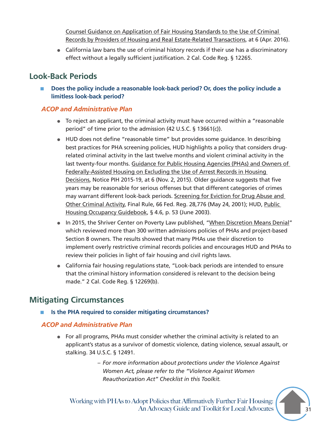Counsel Guidance on Application of Fair Housing Standards to the Use of Criminal Records by Providers of Housing and Real Estate-Related Transactions, at 6 (Apr. 2016).

 $\bullet$  California law bans the use of criminal history records if their use has a discriminatory effect without a legally sufficient justification. 2 Cal. Code Reg. § 12265.

## **Look-Back Periods**

n **Does the policy include a reasonable look-back period? Or, does the policy include a limitless look-back period?**

#### *ACOP and Administrative Plan*

- $\bullet$  To reject an applicant, the criminal activity must have occurred within a "reasonable" period" of time prior to the admission (42 U.S.C. § 13661(c)).
- $\bullet$  HUD does not define "reasonable time" but provides some guidance. In describing best practices for PHA screening policies, HUD highlights a policy that considers drugrelated criminal activity in the last twelve months and violent criminal activity in the last twenty-four months. Guidance for Public Housing Agencies (PHAs) and Owners of Federally-Assisted Housing on Excluding the Use of Arrest Records in Housing Decisions, Notice PIH 2015-19, at 6 (Nov. 2, 2015). Older guidance suggests that five years may be reasonable for serious offenses but that different categories of crimes may warrant different look-back periods. Screening for Eviction for Drug Abuse and Other Criminal Activity, Final Rule, 66 Fed. Reg. 28,776 (May 24, 2001); HUD, Public Housing Occupancy Guidebook, § 4.6, p. 53 (June 2003).
- In 2015, the Shriver Center on Poverty Law published, "When Discretion Means Denial" which reviewed more than 300 written admissions policies of PHAs and project-based Section 8 owners. The results showed that many PHAs use their discretion to implement overly restrictive criminal records policies and encourages HUD and PHAs to review their policies in light of fair housing and civil rights laws.
- California fair housing regulations state, "Look-back periods are intended to ensure that the criminal history information considered is relevant to the decision being made." 2 Cal. Code Reg. § 12269(b).

# **Mitigating Circumstances**

n **Is the PHA required to consider mitigating circumstances?**

## *ACOP and Administrative Plan*

- $\bullet$  For all programs, PHAs must consider whether the criminal activity is related to an applicant's status as a survivor of domestic violence, dating violence, sexual assault, or stalking. 34 U.S.C. § 12491.
	- *– For more information about protections under the Violence Against Women Act, please refer to the "Violence Against Women Reauthorization Act" Checklist in this Toolkit.*

Working with PHAs to Adopt Policies that Affirmatively Further Fair Housing: An Advocacy Guide and Toolkit for Local Advocates

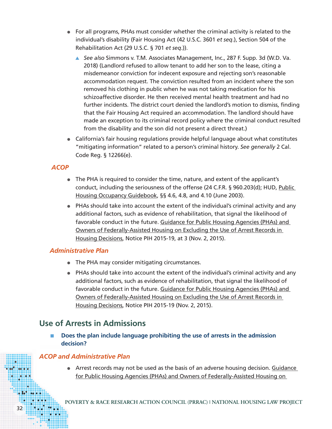- $\bullet$  For all programs, PHAs must consider whether the criminal activity is related to the individual's disability (Fair Housing Act (42 U.S.C. 3601 *et seq*.), Section 504 of the Rehabilitation Act (29 U.S.C. § 701 *et seq*.)).
	- s *See also* Simmons v. T.M. Associates Management, Inc., 287 F. Supp. 3d (W.D. Va. 2018) (Landlord refused to allow tenant to add her son to the lease, citing a misdemeanor conviction for indecent exposure and rejecting son's reasonable accommodation request. The conviction resulted from an incident where the son removed his clothing in public when he was not taking medication for his schizoaffective disorder. He then received mental health treatment and had no further incidents. The district court denied the landlord's motion to dismiss, finding that the Fair Housing Act required an accommodation. The landlord should have made an exception to its criminal record policy where the criminal conduct resulted from the disability and the son did not present a direct threat.)
- California's fair housing regulations provide helpful language about what constitutes "mitigating information" related to a person's criminal history. *See generally* 2 Cal. Code Reg. § 12266(e).

#### *ACOP*

- The PHA is required to consider the time, nature, and extent of the applicant's conduct, including the seriousness of the offense (24 C.F.R. § 960.203(d); HUD, Public Housing Occupancy Guidebook, §§ 4.6, 4.8, and 4.10 (June 2003).
- PHAs should take into account the extent of the individual's criminal activity and any additional factors, such as evidence of rehabilitation, that signal the likelihood of favorable conduct in the future. Guidance for Public Housing Agencies (PHAs) and Owners of Federally-Assisted Housing on Excluding the Use of Arrest Records in Housing Decisions, Notice PIH 2015-19, at 3 (Nov. 2, 2015).

#### *Administrative Plan*

- The PHA may consider mitigating circumstances.
- PHAs should take into account the extent of the individual's criminal activity and any additional factors, such as evidence of rehabilitation, that signal the likelihood of favorable conduct in the future. Guidance for Public Housing Agencies (PHAs) and Owners of Federally-Assisted Housing on Excluding the Use of Arrest Records in Housing Decisions, Notice PIH 2015-19 (Nov. 2, 2015).

## **Use of Arrests in Admissions**

**n** Does the plan include language prohibiting the use of arrests in the admission **decision?** 

#### *ACOP and Administrative Plan*

32

**Arrest records may not be used as the basis of an adverse housing decision. Guidance** for Public Housing Agencies (PHAs) and Owners of Federally-Assisted Housing on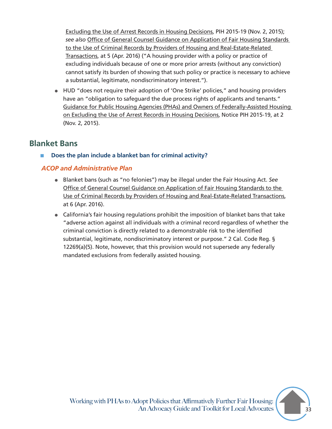Excluding the Use of Arrest Records in Housing Decisions, PIH 2015-19 (Nov. 2, 2015); *see also* Office of General Counsel Guidance on Application of Fair Housing Standards to the Use of Criminal Records by Providers of Housing and Real-Estate-Related Transactions, at 5 (Apr. 2016) ("A housing provider with a policy or practice of excluding individuals because of one or more prior arrests (without any conviction) cannot satisfy its burden of showing that such policy or practice is necessary to achieve a substantial, legitimate, nondiscriminatory interest.").

• HUD "does not require their adoption of 'One Strike' policies," and housing providers have an "obligation to safeguard the due process rights of applicants and tenants." Guidance for Public Housing Agencies (PHAs) and Owners of Federally-Assisted Housing on Excluding the Use of Arrest Records in Housing Decisions, Notice PIH 2015-19, at 2 (Nov. 2, 2015).

# **Blanket Bans**

n **Does the plan include a blanket ban for criminal activity?**

## *ACOP and Administrative Plan*

- **Blanket bans (such as "no felonies") may be illegal under the Fair Housing Act. See** Office of General Counsel Guidance on Application of Fair Housing Standards to the Use of Criminal Records by Providers of Housing and Real-Estate-Related Transactions, at 6 (Apr. 2016).
- California's fair housing regulations prohibit the imposition of blanket bans that take "adverse action against all individuals with a criminal record regardless of whether the criminal conviction is directly related to a demonstrable risk to the identified substantial, legitimate, nondiscriminatory interest or purpose." 2 Cal. Code Reg. § 12269(a)(5). Note, however, that this provision would not supersede any federally mandated exclusions from federally assisted housing.



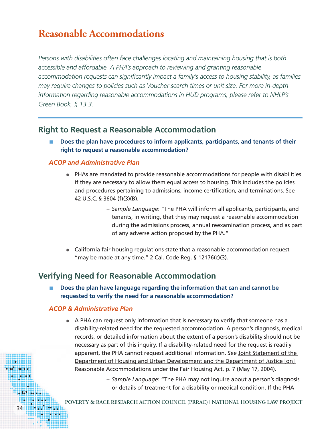# **Reasonable Accommodations**

*Persons with disabilities often face challenges locating and maintaining housing that is both accessible and affordable. A PHA's approach to reviewing and granting reasonable accommodation requests can significantly impact a family's access to housing stability, as families may require changes to policies such as Voucher search times or unit size. For more in-depth information regarding reasonable accommodations in HUD programs, please refer to NHLP's Green Book, § 13.3.*

## **Right to Request a Reasonable Accommodation**

■ Does the plan have procedures to inform applicants, participants, and tenants of their **right to request a reasonable accommodation?**

### *ACOP and Administrative Plan*

- $\bullet$  PHAs are mandated to provide reasonable accommodations for people with disabilities if they are necessary to allow them equal access to housing. This includes the policies and procedures pertaining to admissions, income certification, and terminations. See 42 U.S.C. § 3604 (f)(3)(B).
	- *Sample Language*: "The PHA will inform all applicants, participants, and tenants, in writing, that they may request a reasonable accommodation during the admissions process, annual reexamination process, and as part of any adverse action proposed by the PHA."
- $\bullet$  California fair housing regulations state that a reasonable accommodation request "may be made at any time." 2 Cal. Code Reg. § 12176(c)(3).

## **Verifying Need for Reasonable Accommodation**

**n** Does the plan have language regarding the information that can and cannot be **requested to verify the need for a reasonable accommodation?**

### *ACOP & Administrative Plan*

- $\bullet$  A PHA can request only information that is necessary to verify that someone has a disability-related need for the requested accommodation. A person's diagnosis, medical records, or detailed information about the extent of a person's disability should not be necessary as part of this inquiry. If a disability-related need for the request is readily apparent, the PHA cannot request additional information. *See* Joint Statement of the Department of Housing and Urban Development and the Department of Justice [on] Reasonable Accommodations under the Fair Housing Act, p. 7 (May 17, 2004).
	- *Sample Language*: "The PHA may not inquire about a person's diagnosis or details of treatment for a disability or medical condition. If the PHA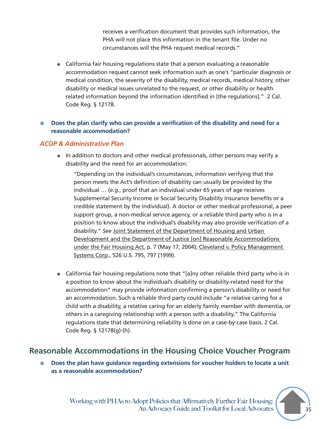receives a verification document that provides such information, the PHA will not place this information in the tenant file. Under no circumstances will the PHA request medical records."

 $\bullet$  California fair housing regulations state that a person evaluating a reasonable accommodation request cannot seek information such as one's "particular diagnosis or medical condition, the severity of the disability, medical records, medical history, other disability or medical issues unrelated to the request, or other disability or health related information beyond the information identified in [the regulations]." 2 Cal. Code Reg. § 12178.

## n **Does the plan clarify who can provide a verification of the disability and need for a reasonable accommodation?**

### *ACOP & Administrative Plan*

 $\bullet$  In addition to doctors and other medical professionals, other persons may verify a disability and the need for an accommodation:

"Depending on the individual's circumstances, information verifying that the person meets the Act's definition of disability can usually be provided by the individual … (*e.g.*, proof that an individual under 65 years of age receives Supplemental Security Income or Social Security Disability Insurance benefits or a credible statement by the individual). A doctor or other medical professional, a peer support group, a non-medical service agency, or a reliable third party who is in a position to know about the individual's disability may also provide verification of a disability." *See* Joint Statement of the Department of Housing and Urban Development and the Department of Justice [on] Reasonable Accommodations under the Fair Housing Act, p. 7 (May 17, 2004); Cleveland v. Policy Management Systems Corp., 526 U.S. 795, 797 (1999).

• California fair housing regulations note that "[a]ny other reliable third party who is in a position to know about the individual's disability or disability-related need for the accommodation" may provide information confirming a person's disability or need for an accommodation. Such a reliable third party could include "a relative caring for a child with a disability, a relative caring for an elderly family member with dementia, or others in a caregiving relationship with a person with a disability." The California regulations state that determining reliability is done on a case-by-case basis. 2 Cal. Code Reg. § 12178(g)-(h).

# **Reasonable Accommodations in the Housing Choice Voucher Program**

n **Does the plan have guidance regarding extensions for voucher holders to locate a unit as a reasonable accommodation?**

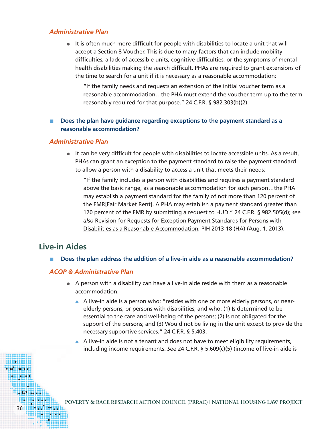### *Administrative Plan*

It is often much more difficult for people with disabilities to locate a unit that will accept a Section 8 Voucher. This is due to many factors that can include mobility difficulties, a lack of accessible units, cognitive difficulties, or the symptoms of mental health disabilities making the search difficult. PHAs are required to grant extensions of the time to search for a unit if it is necessary as a reasonable accommodation:

"If the family needs and requests an extension of the initial voucher term as a reasonable accommodation…the PHA must extend the voucher term up to the term reasonably required for that purpose." 24 C.F.R. § 982.303(b)(2).

### **n** Does the plan have guidance regarding exceptions to the payment standard as a **reasonable accommodation?**

#### *Administrative Plan*

 $\bullet$  It can be very difficult for people with disabilities to locate accessible units. As a result, PHAs can grant an exception to the payment standard to raise the payment standard to allow a person with a disability to access a unit that meets their needs:

"If the family includes a person with disabilities and requires a payment standard above the basic range, as a reasonable accommodation for such person…the PHA may establish a payment standard for the family of not more than 120 percent of the FMR[Fair Market Rent]. A PHA may establish a payment standard greater than 120 percent of the FMR by submitting a request to HUD." 24 C.F.R. § 982.505(d); *see also* Revision for Requests for Exception Payment Standards for Persons with Disabilities as a Reasonable Accommodation, PIH 2013-18 (HA) (Aug. 1, 2013).

## **Live-in Aides**

36

■ Does the plan address the addition of a live-in aide as a reasonable accommodation?

### *ACOP & Administrative Plan*

- $\bullet$  A person with a disability can have a live-in aide reside with them as a reasonable accommodation.
	- $\blacktriangle$  A live-in aide is a person who: "resides with one or more elderly persons, or nearelderly persons, or persons with disabilities, and who: (1) Is determined to be essential to the care and well-being of the persons; (2) Is not obligated for the support of the persons; and (3) Would not be living in the unit except to provide the necessary supportive services." 24 C.F.R. § 5.403.
	- $\triangle$  A live-in aide is not a tenant and does not have to meet eligibility requirements, including income requirements. *See* 24 C.F.R. § 5.609(c)(5) (income of live-in aide is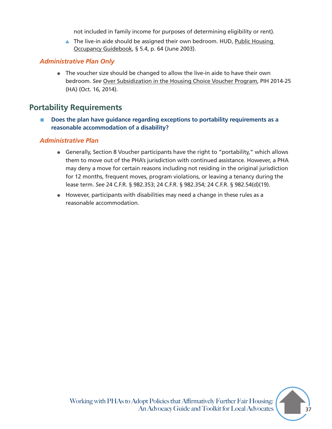not included in family income for purposes of determining eligibility or rent).

 $\blacktriangle$  The live-in aide should be assigned their own bedroom. HUD, Public Housing Occupancy Guidebook, § 5.4, p. 64 (June 2003).

## *Administrative Plan Only*

 $\bullet$  The voucher size should be changed to allow the live-in aide to have their own bedroom. *See* Over Subsidization in the Housing Choice Voucher Program, PIH 2014-25 (HA) (Oct. 16, 2014).

# **Portability Requirements**

■ Does the plan have quidance regarding exceptions to portability requirements as a **reasonable accommodation of a disability?**

## *Administrative Plan*

- **Generally, Section 8 Voucher participants have the right to "portability," which allows** them to move out of the PHA's jurisdiction with continued assistance. However, a PHA may deny a move for certain reasons including not residing in the original jurisdiction for 12 months, frequent moves, program violations, or leaving a tenancy during the lease term. *See* 24 C.F.R. § 982.353; 24 C.F.R. § 982.354; 24 C.F.R. § 982.54(d)(19).
- $\bullet$  However, participants with disabilities may need a change in these rules as a reasonable accommodation.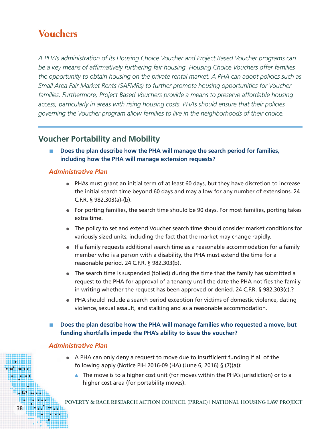# **Vouchers**

*A PHA's administration of its Housing Choice Voucher and Project Based Voucher programs can be a key means of affirmatively furthering fair housing. Housing Choice Vouchers offer families the opportunity to obtain housing on the private rental market. A PHA can adopt policies such as Small Area Fair Market Rents (SAFMRs) to further promote housing opportunities for Voucher families. Furthermore, Project Based Vouchers provide a means to preserve affordable housing access, particularly in areas with rising housing costs. PHAs should ensure that their policies governing the Voucher program allow families to live in the neighborhoods of their choice.* 

## **Voucher Portability and Mobility**

■ Does the plan describe how the PHA will manage the search period for families, **including how the PHA will manage extension requests?** 

### *Administrative Plan*

- $\bullet$  PHAs must grant an initial term of at least 60 days, but they have discretion to increase the initial search time beyond 60 days and may allow for any number of extensions. 24 C.F.R. § 982.303(a)-(b).
- $\bullet$  For porting families, the search time should be 90 days. For most families, porting takes extra time.
- The policy to set and extend Voucher search time should consider market conditions for variously sized units, including the fact that the market may change rapidly.
- $\bullet$  If a family requests additional search time as a reasonable accommodation for a family member who is a person with a disability, the PHA must extend the time for a reasonable period. 24 C.F.R. § 982.303(b).
- $\bullet$  The search time is suspended (tolled) during the time that the family has submitted a request to the PHA for approval of a tenancy until the date the PHA notifies the family in writing whether the request has been approved or denied. 24 C.F.R. § 982.303(c).?
- $\bullet$  PHA should include a search period exception for victims of domestic violence, dating violence, sexual assault, and stalking and as a reasonable accommodation.

### **n** Does the plan describe how the PHA will manage families who requested a move, but **funding shortfalls impede the PHA's ability to issue the voucher?**

### *Administrative Plan*

- $\bullet$  A PHA can only deny a request to move due to insufficient funding if all of the following apply (Notice PIH 2016-09 (HA) (June 6, 2016) § (7)(a)):
	- $\blacktriangle$  The move is to a higher cost unit (for moves within the PHA's jurisdiction) or to a higher cost area (for portability moves).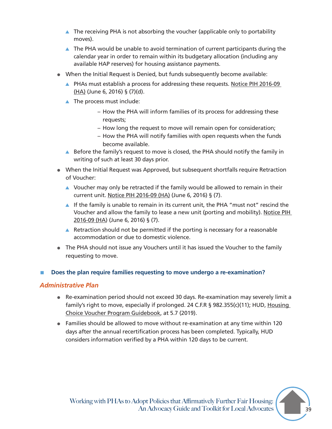- $\blacktriangle$  The receiving PHA is not absorbing the voucher (applicable only to portability moves).
- $\blacktriangle$  The PHA would be unable to avoid termination of current participants during the calendar year in order to remain within its budgetary allocation (including any available HAP reserves) for housing assistance payments.
- When the Initial Request is Denied, but funds subsequently become available:
	- $\blacktriangle$  PHAs must establish a process for addressing these requests. Notice PIH 2016-09 (HA) (June 6, 2016) § (7)(d).
	- $\triangle$  The process must include:
		- How the PHA will inform families of its process for addressing these requests;
		- How long the request to move will remain open for consideration;
		- How the PHA will notify families with open requests when the funds become available.
	- $\blacktriangle$  Before the family's request to move is closed, the PHA should notify the family in writing of such at least 30 days prior.
- When the Initial Request was Approved, but subsequent shortfalls require Retraction of Voucher:
	- $\triangle$  Voucher may only be retracted if the family would be allowed to remain in their current unit. Notice PIH 2016-09 (HA) (June 6, 2016) § (7).
	- If the family is unable to remain in its current unit, the PHA "must not" rescind the Voucher and allow the family to lease a new unit (porting and mobility). Notice PIH 2016-09 (HA) (June 6, 2016) § (7).
	- $\blacktriangle$  Retraction should not be permitted if the porting is necessary for a reasonable accommodation or due to domestic violence.
- $\bullet$  The PHA should not issue any Vouchers until it has issued the Voucher to the family requesting to move.

## n **Does the plan require families requesting to move undergo a re-examination?**

### *Administrative Plan*

- $\bullet$  Re-examination period should not exceed 30 days. Re-examination may severely limit a family's right to move, especially if prolonged. 24 C.F.R § 982.355(c)(11); HUD, Housing Choice Voucher Program Guidebook, at 5.7 (2019).
- **Families should be allowed to move without re-examination at any time within 120** days after the annual recertification process has been completed. Typically, HUD considers information verified by a PHA within 120 days to be current.



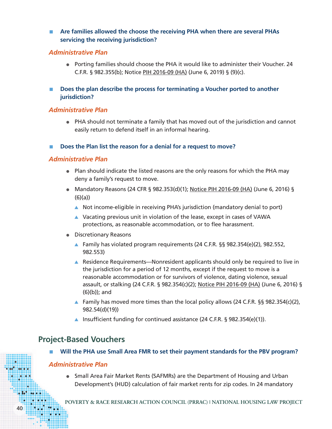### **n** Are families allowed the choose the receiving PHA when there are several PHAs **servicing the receiving jurisdiction?**

### *Administrative Plan*

- Porting families should choose the PHA it would like to administer their Voucher. 24 C.F.R. § 982.355(b); Notice PIH 2016-09 (HA) (June 6, 2019) § (9)(c).
- **n** Does the plan describe the process for terminating a Voucher ported to another **jurisdiction?**

### *Administrative Plan*

- $\bullet$  PHA should not terminate a family that has moved out of the jurisdiction and cannot easily return to defend itself in an informal hearing.
- Does the Plan list the reason for a denial for a request to move?

### *Administrative Plan*

- $\bullet$  Plan should indicate the listed reasons are the only reasons for which the PHA may deny a family's request to move.
- Mandatory Reasons (24 CFR § 982.353(d)(1); Notice PIH 2016-09 (HA) (June 6, 2016) §  $(6)(a)$ 
	- $\blacktriangle$  Not income-eligible in receiving PHA's jurisdiction (mandatory denial to port)
	- $\triangle$  Vacating previous unit in violation of the lease, except in cases of VAWA protections, as reasonable accommodation, or to flee harassment.
- **•** Discretionary Reasons
	- Family has violated program requirements (24 C.F.R. §§ 982.354(e)(2), 982.552, 982.553)
	- $\blacktriangle$  Residence Requirements—Nonresident applicants should only be required to live in the jurisdiction for a period of 12 months, except if the request to move is a reasonable accommodation or for survivors of violence, dating violence, sexual assault, or stalking (24 C.F.R. § 982.354(c)(2); Notice PIH 2016-09 (HA) (June 6, 2016) § (6)(b)); and
	- **■** Family has moved more times than the local policy allows (24 C.F.R. §§ 982.354(c)(2), 982.54(d)(19))
	- **A** Insufficient funding for continued assistance (24 C.F.R. § 982.354(e)(1)).

# **Project-Based Vouchers**

n **Will the PHA use Small Area FMR to set their payment standards for the PBV program?** 

### *Administrative Plan*

40

• Small Area Fair Market Rents (SAFMRs) are the Department of Housing and Urban Development's (HUD) calculation of fair market rents for zip codes. In 24 mandatory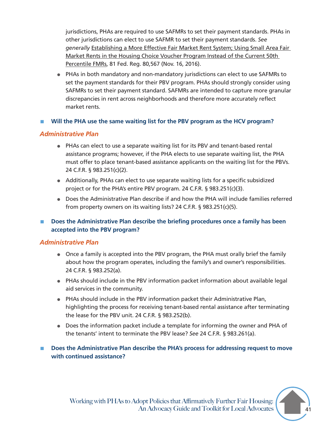jurisdictions, PHAs are required to use SAFMRs to set their payment standards. PHAs in other jurisdictions can elect to use SAFMR to set their payment standards. *See generally* Establishing a More Effective Fair Market Rent System; Using Small Area Fair Market Rents in the Housing Choice Voucher Program Instead of the Current 50th Percentile FMRs, 81 Fed. Reg. 80,567 (Nov. 16, 2016).

• PHAs in both mandatory and non-mandatory jurisdictions can elect to use SAFMRs to set the payment standards for their PBV program. PHAs should strongly consider using SAFMRs to set their payment standard. SAFMRs are intended to capture more granular discrepancies in rent across neighborhoods and therefore more accurately reflect market rents.

### **n** Will the PHA use the same waiting list for the PBV program as the HCV program?

### *Administrative Plan*

- $\bullet$  PHAs can elect to use a separate waiting list for its PBV and tenant-based rental assistance programs; however, if the PHA elects to use separate waiting list, the PHA must offer to place tenant-based assistance applicants on the waiting list for the PBVs. 24 C.F.R. § 983.251(c)(2).
- $\bullet$  Additionally, PHAs can elect to use separate waiting lists for a specific subsidized project or for the PHA's entire PBV program. 24 C.F.R. § 983.251(c)(3).
- $\bullet$  Does the Administrative Plan describe if and how the PHA will include families referred from property owners on its waiting lists? 24 C.F.R. § 983.251(c)(5).

### n **Does the Administrative Plan describe the briefing procedures once a family has been accepted into the PBV program?**

### *Administrative Plan*

- $\bullet$  Once a family is accepted into the PBV program, the PHA must orally brief the family about how the program operates, including the family's and owner's responsibilities. 24 C.F.R. § 983.252(a).
- PHAs should include in the PBV information packet information about available legal aid services in the community.
- PHAs should include in the PBV information packet their Administrative Plan, highlighting the process for receiving tenant-based rental assistance after terminating the lease for the PBV unit. 24 C.F.R. § 983.252(b).
- $\bullet$  Does the information packet include a template for informing the owner and PHA of the tenants' intent to terminate the PBV lease? *See* 24 C.F.R. § 983.261(a).

### ■ Does the Administrative Plan describe the PHA's process for addressing request to move **with continued assistance?**

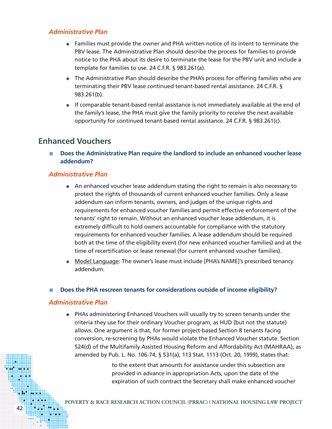### *Administrative Plan*

- Families must provide the owner and PHA written notice of its intent to terminate the PBV lease. The Administrative Plan should describe the process for families to provide notice to the PHA about its desire to terminate the lease for the PBV unit and include a template for families to use. 24 C.F.R. § 983.261(a).
- The Administrative Plan should describe the PHA's process for offering families who are terminating their PBV lease continued tenant-based rental assistance. 24 C.F.R. § 983.261(b).
- $\bullet$  If comparable tenant-based rental assistance is not immediately available at the end of the family's lease, the PHA must give the family priority to receive the next available opportunity for continued tenant-based rental assistance. 24 C.F.R. § 983.261(c).

## **Enhanced Vouchers**

**n** Does the Administrative Plan require the landlord to include an enhanced voucher lease **addendum?**

### *Administrative Plan*

- $\bullet$  An enhanced voucher lease addendum stating the right to remain is also necessary to protect the rights of thousands of current enhanced voucher families. Only a lease addendum can inform tenants, owners, and judges of the unique rights and requirements for enhanced voucher families and permit effective enforcement of the tenants' right to remain. Without an enhanced voucher lease addendum, it is extremely difficult to hold owners accountable for compliance with the statutory requirements for enhanced voucher families. A lease addendum should be required both at the time of the eligibility event (for new enhanced voucher families) and at the time of recertification or lease renewal (for current enhanced voucher families).
- Model Language: The owner's lease must include [PHA's NAME]'s prescribed tenancy addendum.

#### n **Does the PHA rescreen tenants for considerations outside of income eligibility?**

#### *Administrative Plan*

42

• PHAs administering Enhanced Vouchers will usually try to screen tenants under the criteria they use for their ordinary Voucher program, as HUD (but not the statute) allows. One argument is that, for former project-based Section 8 tenants facing conversion, re-screening by PHAs would violate the Enhanced Voucher statute. Section 524(d) of the Multifamily Assisted Housing Reform and Affordability Act (MAHRAA), as amended by Pub. L. No. 106-74, § 531(a), 113 Stat. 1113 (Oct. 20, 1999), states that:

> to the extent that amounts for assistance under this subsection are provided in advance in appropriation Acts, upon the date of the expiration of such contract the Secretary shall make enhanced voucher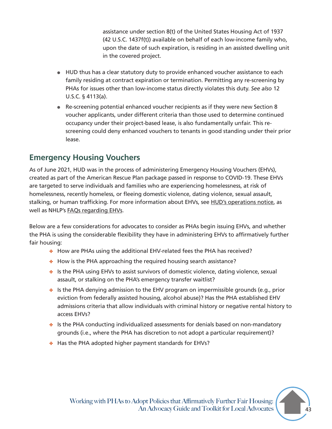assistance under section 8(t) of the United States Housing Act of 1937 (42 U.S.C. 1437f(t)) available on behalf of each low-income family who, upon the date of such expiration, is residing in an assisted dwelling unit in the covered project.

- $\bullet$  HUD thus has a clear statutory duty to provide enhanced voucher assistance to each family residing at contract expiration or termination. Permitting any re-screening by PHAs for issues other than low-income status directly violates this duty. *See also* 12 U.S.C. § 4113(a).
- $\bullet$  Re-screening potential enhanced voucher recipients as if they were new Section 8 voucher applicants, under different criteria than those used to determine continued occupancy under their project-based lease, is also fundamentally unfair. This rescreening could deny enhanced vouchers to tenants in good standing under their prior lease.

# **Emergency Housing Vouchers**

As of June 2021, HUD was in the process of administering Emergency Housing Vouchers (EHVs), created as part of the American Rescue Plan package passed in response to COVID-19. These EHVs are targeted to serve individuals and families who are experiencing homelessness, at risk of homelessness, recently homeless, or fleeing domestic violence, dating violence, sexual assault, stalking, or human trafficking. For more information about EHVs, see HUD's operations notice, as well as NHLP's FAQs regarding EHVs.

Below are a few considerations for advocates to consider as PHAs begin issuing EHVs, and whether the PHA is using the considerable flexibility they have in administering EHVs to affirmatively further fair housing:

- How are PHAs using the additional EHV-related fees the PHA has received?
- $\cdot$  How is the PHA approaching the required housing search assistance?
- **B** Is the PHA using EHVs to assist survivors of domestic violence, dating violence, sexual assault, or stalking on the PHA's emergency transfer waitlist?
- Is the PHA denying admission to the EHV program on impermissible grounds (e.g., prior eviction from federally assisted housing, alcohol abuse)? Has the PHA established EHV admissions criteria that allow individuals with criminal history or negative rental history to access EHVs?
- $\bullet$  Is the PHA conducting individualized assessments for denials based on non-mandatory grounds (i.e., where the PHA has discretion to not adopt a particular requirement)?
- $\cdot$  Has the PHA adopted higher payment standards for EHVs?

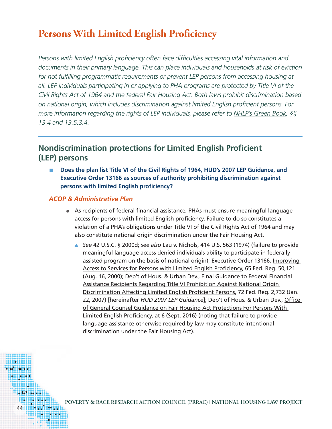# **Persons With Limited English Proficiency**

*Persons with limited English proficiency often face difficulties accessing vital information and documents in their primary language. This can place individuals and households at risk of eviction for not fulfilling programmatic requirements or prevent LEP persons from accessing housing at all. LEP individuals participating in or applying to PHA programs are protected by Title VI of the Civil Rights Act of 1964 and the federal Fair Housing Act. Both laws prohibit discrimination based on national origin, which includes discrimination against limited English proficient persons. For more information regarding the rights of LEP individuals, please refer to NHLP's Green Book, §§ 13.4 and 13.5.3.4.* 

# **Nondiscrimination protections for Limited English Proficient (LEP) persons**

■ Does the plan list Title VI of the Civil Rights of 1964, HUD's 2007 LEP Guidance, and **Executive Order 13166 as sources of authority prohibiting discrimination against persons with limited English proficiency?** 

### *ACOP & Administrative Plan*

- $\bullet$  As recipients of federal financial assistance, PHAs must ensure meaningful language access for persons with limited English proficiency. Failure to do so constitutes a violation of a PHA's obligations under Title VI of the Civil Rights Act of 1964 and may also constitute national origin discrimination under the Fair Housing Act.
	- s *See* 42 U.S.C. § 2000d; *see also* Lau v. Nichols, 414 U.S. 563 (1974) (failure to provide meaningful language access denied individuals ability to participate in federally assisted program on the basis of national origin); Executive Order 13166, Improving Access to Services for Persons with Limited English Proficiency, 65 Fed. Reg. 50,121 (Aug. 16, 2000); Dep't of Hous. & Urban Dev., Final Guidance to Federal Financial Assistance Recipients Regarding Title VI Prohibition Against National Origin Discrimination Affecting Limited English Proficient Persons, 72 Fed. Reg. 2,732 (Jan. 22, 2007) [hereinafter *HUD 2007 LEP Guidance*]; Dep't of Hous. & Urban Dev., Office of General Counsel Guidance on Fair Housing Act Protections For Persons With Limited English Proficiency, at 6 (Sept. 2016) (noting that failure to provide language assistance otherwise required by law may constitute intentional discrimination under the Fair Housing Act).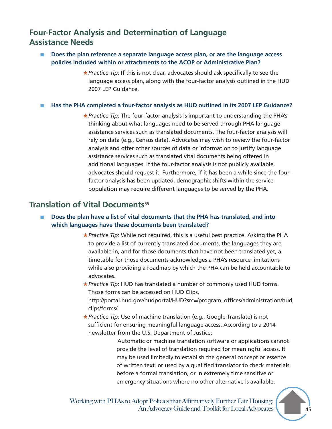# **Four-Factor Analysis and Determination of Language Assistance Needs**

- n **Does the plan reference a separate language access plan, or are the language access policies included within or attachments to the ACOP or Administrative Plan?** 
	- **★ Practice Tip: If this is not clear, advocates should ask specifically to see the** language access plan, along with the four-factor analysis outlined in the HUD 2007 LEP Guidance.
- n **Has the PHA completed a four-factor analysis as HUD outlined in its 2007 LEP Guidance?**
	- ★ Practice Tip: The four-factor analysis is important to understanding the PHA's thinking about what languages need to be served through PHA language assistance services such as translated documents. The four-factor analysis will rely on data (e.g., Census data). Advocates may wish to review the four-factor analysis and offer other sources of data or information to justify language assistance services such as translated vital documents being offered in additional languages. If the four-factor analysis is not publicly available, advocates should request it. Furthermore, if it has been a while since the fourfactor analysis has been updated, demographic shifts within the service population may require different languages to be served by the PHA.

# **Translation of Vital Documents**<sup>55</sup>

- Does the plan have a list of vital documents that the PHA has translated, and into **which languages have these documents been translated?**
	- ★ Practice Tip: While not required, this is a useful best practice. Asking the PHA to provide a list of currently translated documents, the languages they are available in, and for those documents that have not been translated yet, a timetable for those documents acknowledges a PHA's resource limitations while also providing a roadmap by which the PHA can be held accountable to advocates.

★ Practice Tip: HUD has translated a number of commonly used HUD forms. Those forms can be accessed on HUD Clips, http://portal.hud.gov/hudportal/HUD?src=/program\_offices/administration/hud clips/forms/

★ *Practice Tip*: Use of machine translation (e.g., Google Translate) is not sufficient for ensuring meaningful language access. According to a 2014 newsletter from the U.S. Department of Justice:

> Automatic or machine translation software or applications cannot provide the level of translation required for meaningful access. It may be used limitedly to establish the general concept or essence of written text, or used by a qualified translator to check materials before a formal translation, or in extremely time sensitive or emergency situations where no other alternative is available.

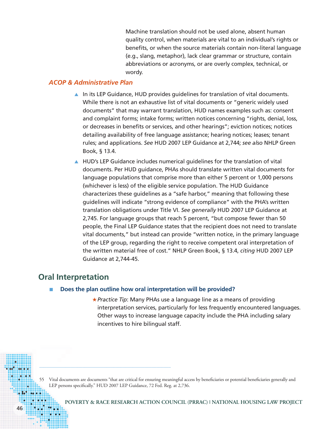Machine translation should not be used alone, absent human quality control, when materials are vital to an individual's rights or benefits, or when the source materials contain non-literal language (e.g., slang, metaphor), lack clear grammar or structure, contain abbreviations or acronyms, or are overly complex, technical, or wordy.

### *ACOP & Administrative Plan*

- In its LEP Guidance, HUD provides quidelines for translation of vital documents. While there is not an exhaustive list of vital documents or "generic widely used documents" that may warrant translation, HUD names examples such as: consent and complaint forms; intake forms; written notices concerning "rights, denial, loss, or decreases in benefits or services, and other hearings"; eviction notices; notices detailing availability of free language assistance; hearing notices; leases; tenant rules; and applications. *See* HUD 2007 LEP Guidance at 2,744; *see also* NHLP Green Book, § 13.4.
- $\blacktriangle$  HUD's LEP Guidance includes numerical guidelines for the translation of vital documents. Per HUD guidance, PHAs should translate written vital documents for language populations that comprise more than either 5 percent or 1,000 persons (whichever is less) of the eligible service population. The HUD Guidance characterizes these guidelines as a "safe harbor," meaning that following these guidelines will indicate "strong evidence of compliance" with the PHA's written translation obligations under Title VI. *See generally* HUD 2007 LEP Guidance at 2,745. For language groups that reach 5 percent, "but compose fewer than 50 people, the Final LEP Guidance states that the recipient does not need to translate vital documents," but instead can provide "written notice, in the primary language of the LEP group, regarding the right to receive competent oral interpretation of the written material free of cost." NHLP Green Book, § 13.4, *citing* HUD 2007 LEP Guidance at 2,744-45.

## **Oral Interpretation**

\_\_\_\_\_\_\_\_\_\_\_\_\_\_\_\_\_\_\_\_\_\_\_\_\_\_\_\_\_\_\_\_\_\_\_\_\_\_\_\_\_\_\_\_\_\_\_\_\_\_\_\_\_\_\_

46

- **n** Does the plan outline how oral interpretation will be provided?
	- ★ *Practice Tip*: Many PHAs use a language line as a means of providing interpretation services, particularly for less frequently encountered languages. Other ways to increase language capacity include the PHA including salary incentives to hire bilingual staff.

55 Vital documents are documents "that are critical for ensuring meaningful access by beneficiaries or potential beneficiaries generally and LEP persons specifically." HUD 2007 LEP Guidance, 72 Fed. Reg. at 2,736.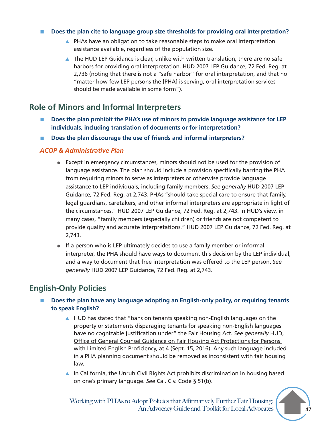### n **Does the plan cite to language group size thresholds for providing oral interpretation?**

- $\blacktriangle$  PHAs have an obligation to take reasonable steps to make oral interpretation assistance available, regardless of the population size.
- $\blacktriangle$  The HUD LEP Guidance is clear, unlike with written translation, there are no safe harbors for providing oral interpretation. HUD 2007 LEP Guidance, 72 Fed. Reg. at 2,736 (noting that there is not a "safe harbor" for oral interpretation, and that no "matter how few LEP persons the [PHA] is serving, oral interpretation services should be made available in some form").

# **Role of Minors and Informal Interpreters**

- Does the plan prohibit the PHA's use of minors to provide language assistance for LEP **individuals, including translation of documents or for interpretation?**
- Does the plan discourage the use of friends and informal interpreters?

### *ACOP & Administrative Plan*

- $\bullet$  Except in emergency circumstances, minors should not be used for the provision of language assistance. The plan should include a provision specifically barring the PHA from requiring minors to serve as interpreters or otherwise provide language assistance to LEP individuals, including family members. *See generally* HUD 2007 LEP Guidance, 72 Fed. Reg. at 2,743. PHAs "should take special care to ensure that family, legal guardians, caretakers, and other informal interpreters are appropriate in light of the circumstances." HUD 2007 LEP Guidance, 72 Fed. Reg. at 2,743. In HUD's view, in many cases, "family members (especially children) or friends are not competent to provide quality and accurate interpretations." HUD 2007 LEP Guidance, 72 Fed. Reg. at 2,743.
- $\bullet$  If a person who is LEP ultimately decides to use a family member or informal interpreter, the PHA should have ways to document this decision by the LEP individual, and a way to document that free interpretation was offered to the LEP person. *See generally* HUD 2007 LEP Guidance, 72 Fed. Reg. at 2,743.

# **English-Only Policies**

- n **Does the plan have any language adopting an English-only policy, or requiring tenants to speak English?**
	- $\blacktriangle$  HUD has stated that "bans on tenants speaking non-English languages on the property or statements disparaging tenants for speaking non-English languages have no cognizable justification under" the Fair Housing Act. *See generally* HUD, Office of General Counsel Guidance on Fair Housing Act Protections for Persons with Limited English Proficiency, at 4 (Sept. 15, 2016). Any such language included in a PHA planning document should be removed as inconsistent with fair housing law.
	- In California, the Unruh Civil Rights Act prohibits discrimination in housing based on one's primary language. *See* Cal. Civ. Code § 51(b).

Working with PHAs to Adopt Policies that Affirmatively Further Fair Housing: An Advocacy Guide and Toolkit for Local Advocates 47

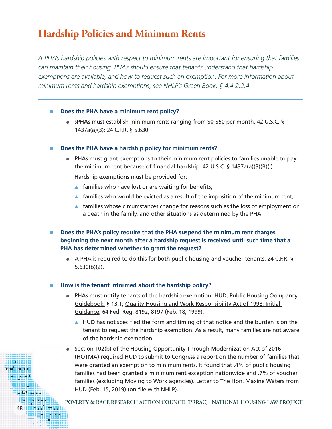# **Hardship Policies and Minimum Rents**

*A PHA's hardship policies with respect to minimum rents are important for ensuring that families can maintain their housing. PHAs should ensure that tenants understand that hardship exemptions are available, and how to request such an exemption. For more information about minimum rents and hardship exemptions, see NHLP's Green Book, § 4.4.2.2.4.*

#### ■ Does the PHA have a minimum rent policy?

• sPHAs must establish minimum rents ranging from \$0-\$50 per month. 42 U.S.C. § 1437a(a)(3); 24 C.F.R. § 5.630.

#### n **Does the PHA have a hardship policy for minimum rents?**

 $\bullet$  PHAs must grant exemptions to their minimum rent policies to families unable to pay the minimum rent because of financial hardship. 42 U.S.C. § 1437a(a)(3)(B)(i).

Hardship exemptions must be provided for:

- $\blacktriangle$  families who have lost or are waiting for benefits;
- $\blacktriangle$  families who would be evicted as a result of the imposition of the minimum rent;
- $\blacktriangle$  families whose circumstances change for reasons such as the loss of employment or a death in the family, and other situations as determined by the PHA.
- n **Does the PHA's policy require that the PHA suspend the minimum rent charges beginning the next month after a hardship request is received until such time that a PHA has determined whether to grant the request?** 
	- $\bullet$  A PHA is required to do this for both public housing and voucher tenants. 24 C.F.R. § 5.630(b)(2).

#### n **How is the tenant informed about the hardship policy?**

- PHAs must notify tenants of the hardship exemption. HUD, Public Housing Occupancy Guidebook, § 13.1; Quality Housing and Work Responsibility Act of 1998; Initial Guidance, 64 Fed. Reg. 8192, 8197 (Feb. 18, 1999).
	- $\blacktriangle$  HUD has not specified the form and timing of that notice and the burden is on the tenant to request the hardship exemption. As a result, many families are not aware of the hardship exemption.
- Section 102(b) of the Housing Opportunity Through Modernization Act of 2016 (HOTMA) required HUD to submit to Congress a report on the number of families that were granted an exemption to minimum rents. It found that .4% of public housing families had been granted a minimum rent exception nationwide and .7% of voucher families (excluding Moving to Work agencies). Letter to The Hon. Maxine Waters from HUD (Feb. 15, 2019) (on file with NHLP).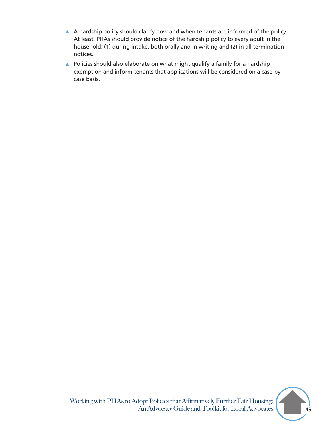- $\blacktriangle$  A hardship policy should clarify how and when tenants are informed of the policy. At least, PHAs should provide notice of the hardship policy to every adult in the household: (1) during intake, both orally and in writing and (2) in all termination notices.
- $\blacktriangle$  Policies should also elaborate on what might qualify a family for a hardship exemption and inform tenants that applications will be considered on a case-bycase basis.

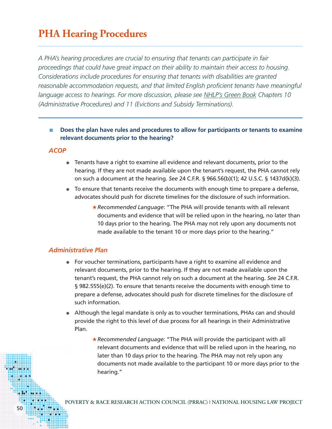# **PHA Hearing Procedures**

*A PHA's hearing procedures are crucial to ensuring that tenants can participate in fair proceedings that could have great impact on their ability to maintain their access to housing. Considerations include procedures for ensuring that tenants with disabilities are granted reasonable accommodation requests, and that limited English proficient tenants have meaningful language access to hearings. For more discussion, please see NHLP's Green Book Chapters 10 (Administrative Procedures) and 11 (Evictions and Subsidy Terminations).*

**n** Does the plan have rules and procedures to allow for participants or tenants to examine **relevant documents prior to the hearing?**

### *ACOP*

50

- $\bullet$  Tenants have a right to examine all evidence and relevant documents, prior to the hearing. If they are not made available upon the tenant's request, the PHA cannot rely on such a document at the hearing. *See* 24 C.F.R. § 966.56(b)(1); 42 U.S.C. § 1437d(k)(3).
- $\bullet$  To ensure that tenants receive the documents with enough time to prepare a defense, advocates should push for discrete timelines for the disclosure of such information.
	- H*Recommended Language*: "The PHA will provide tenants with all relevant documents and evidence that will be relied upon in the hearing, no later than 10 days prior to the hearing. The PHA may not rely upon any documents not made available to the tenant 10 or more days prior to the hearing."

### *Administrative Plan*

- For voucher terminations, participants have a right to examine all evidence and relevant documents, prior to the hearing. If they are not made available upon the tenant's request, the PHA cannot rely on such a document at the hearing. *See* 24 C.F.R. § 982.555(e)(2). To ensure that tenants receive the documents with enough time to prepare a defense, advocates should push for discrete timelines for the disclosure of such information.
- Although the legal mandate is only as to voucher terminations, PHAs can and should provide the right to this level of due process for all hearings in their Administrative Plan.
	- H*Recommended Language*: "The PHA will provide the participant with all relevant documents and evidence that will be relied upon in the hearing, no later than 10 days prior to the hearing. The PHA may not rely upon any documents not made available to the participant 10 or more days prior to the hearing."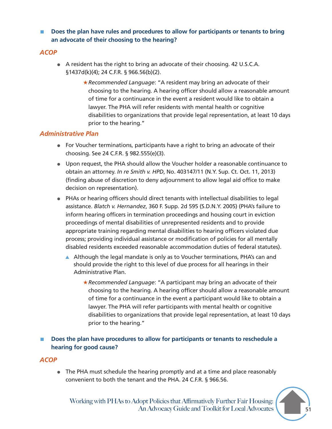### **n** Does the plan have rules and procedures to allow for participants or tenants to bring **an advocate of their choosing to the hearing?**

## *ACOP*

- $\bullet$  A resident has the right to bring an advocate of their choosing. 42 U.S.C.A. §1437d(k)(4); 24 C.F.R. § 966.56(b)(2).
	- ★ Recommended Language: "A resident may bring an advocate of their choosing to the hearing. A hearing officer should allow a reasonable amount of time for a continuance in the event a resident would like to obtain a lawyer. The PHA will refer residents with mental health or cognitive disabilities to organizations that provide legal representation, at least 10 days prior to the hearing."

## *Administrative Plan*

- For Voucher terminations, participants have a right to bring an advocate of their choosing. See 24 C.F.R. § 982.555(e)(3).
- Upon request, the PHA should allow the Voucher holder a reasonable continuance to obtain an attorney. *In re Smith v. HPD*, No. 403147/11 (N.Y. Sup. Ct. Oct. 11, 2013) (finding abuse of discretion to deny adjournment to allow legal aid office to make decision on representation).
- PHAs or hearing officers should direct tenants with intellectual disabilities to legal assistance. *Blatch v. Hernandez*, 360 F. Supp. 2d 595 (S.D.N.Y. 2005) (PHA's failure to inform hearing officers in termination proceedings and housing court in eviction proceedings of mental disabilities of unrepresented residents and to provide appropriate training regarding mental disabilities to hearing officers violated due process; providing individual assistance or modification of policies for all mentally disabled residents exceeded reasonable accommodation duties of federal statutes).
	- Although the legal mandate is only as to Voucher terminations, PHA's can and should provide the right to this level of due process for all hearings in their Administrative Plan.
		- ★ Recommended Language: "A participant may bring an advocate of their choosing to the hearing. A hearing officer should allow a reasonable amount of time for a continuance in the event a participant would like to obtain a lawyer. The PHA will refer participants with mental health or cognitive disabilities to organizations that provide legal representation, at least 10 days prior to the hearing."

## ■ Does the plan have procedures to allow for participants or tenants to reschedule a **hearing for good cause?**

### *ACOP*

 $\bullet$  The PHA must schedule the hearing promptly and at a time and place reasonably convenient to both the tenant and the PHA. 24 C.F.R. § 966.56.



Working with PHAs to Adopt Policies that Affirmatively Further Fair Housing: An Advocacy Guide and Toolkit for Local Advocates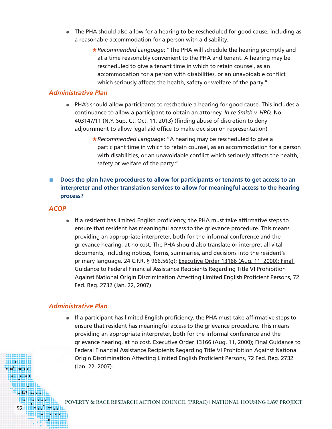- The PHA should also allow for a hearing to be rescheduled for good cause, including as a reasonable accommodation for a person with a disability.
	- H*Recommended Language*: "The PHA will schedule the hearing promptly and at a time reasonably convenient to the PHA and tenant. A hearing may be rescheduled to give a tenant time in which to retain counsel, as an accommodation for a person with disabilities, or an unavoidable conflict which seriously affects the health, safety or welfare of the party."

### *Administrative Plan*

- PHA's should allow participants to reschedule a hearing for good cause. This includes a continuance to allow a participant to obtain an attorney. *In re Smith v. HPD,* No. 403147/11 (N.Y. Sup. Ct. Oct. 11, 2013) (finding abuse of discretion to deny adjournment to allow legal aid office to make decision on representation)
	- H*Recommended Language*: "A hearing may be rescheduled to give a participant time in which to retain counsel, as an accommodation for a person with disabilities, or an unavoidable conflict which seriously affects the health, safety or welfare of the party."
- **n** Does the plan have procedures to allow for participants or tenants to get access to an **interpreter and other translation services to allow for meaningful access to the hearing process?**

### *ACOP*

52

 $\bullet$  If a resident has limited English proficiency, the PHA must take affirmative steps to ensure that resident has meaningful access to the grievance procedure. This means providing an appropriate interpreter, both for the informal conference and the grievance hearing, at no cost. The PHA should also translate or interpret all vital documents, including notices, forms, summaries, and decisions into the resident's primary language. 24 C.F.R. § 966.56(g); Executive Order 13166 (Aug. 11, 2000); Final Guidance to Federal Financial Assistance Recipients Regarding Title VI Prohibition Against National Origin Discrimination Affecting Limited English Proficient Persons, 72 Fed. Reg. 2732 (Jan. 22, 2007)

### *Administrative Plan*

 $\bullet$  If a participant has limited English proficiency, the PHA must take affirmative steps to ensure that resident has meaningful access to the grievance procedure. This means providing an appropriate interpreter, both for the informal conference and the grievance hearing, at no cost. Executive Order 13166 (Aug. 11, 2000); Final Guidance to Federal Financial Assistance Recipients Regarding Title VI Prohibition Against National Origin Discrimination Affecting Limited English Proficient Persons, 72 Fed. Reg. 2732 (Jan. 22, 2007).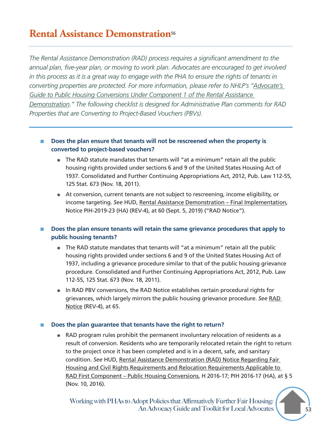# **Rental Assistance Demonstration**<sup>56</sup>

*The Rental Assistance Demonstration (RAD) process requires a significant amendment to the annual plan, five-year plan, or moving to work plan. Advocates are encouraged to get involved in this process as it is a great way to engage with the PHA to ensure the rights of tenants in converting properties are protected. For more information, please refer to NHLP's "Advocate's Guide to Public Housing Conversions Under Component 1 of the Rental Assistance Demonstration." The following checklist is designed for Administrative Plan comments for RAD Properties that are Converting to Project-Based Vouchers (PBVs).*

### n **Does the plan ensure that tenants will not be rescreened when the property is converted to project-based vouchers?**

- $\bullet$  The RAD statute mandates that tenants will "at a minimum" retain all the public housing rights provided under sections 6 and 9 of the United States Housing Act of 1937. Consolidated and Further Continuing Appropriations Act, 2012, Pub. Law 112-55, 125 Stat. 673 (Nov. 18, 2011).
- $\bullet$  At conversion, current tenants are not subject to rescreening, income eligibility, or income targeting. *See* HUD, Rental Assistance Demonstration – Final Implementation, Notice PIH-2019-23 (HA) (REV-4), at 60 (Sept. 5, 2019) ("RAD Notice").

### **n** Does the plan ensure tenants will retain the same grievance procedures that apply to **public housing tenants?**

- $\bullet$  The RAD statute mandates that tenants will "at a minimum" retain all the public housing rights provided under sections 6 and 9 of the United States Housing Act of 1937, including a grievance procedure similar to that of the public housing grievance procedure. Consolidated and Further Continuing Appropriations Act, 2012, Pub. Law 112-55, 125 Stat. 673 (Nov. 18, 2011).
- $\bullet$  In RAD PBV conversions, the RAD Notice establishes certain procedural rights for grievances, which largely mirrors the public housing grievance procedure. *See* RAD Notice (REV-4), at 65.

### n **Does the plan guarantee that tenants have the right to return?**

 $\bullet$  RAD program rules prohibit the permanent involuntary relocation of residents as a result of conversion. Residents who are temporarily relocated retain the right to return to the project once it has been completed and is in a decent, safe, and sanitary condition. *See* HUD, Rental Assistance Demonstration (RAD) Notice Regarding Fair Housing and Civil Rights Requirements and Relocation Requirements Applicable to RAD First Component – Public Housing Conversions, H 2016-17; PIH 2016-17 (HA), at § 5 (Nov. 10, 2016).



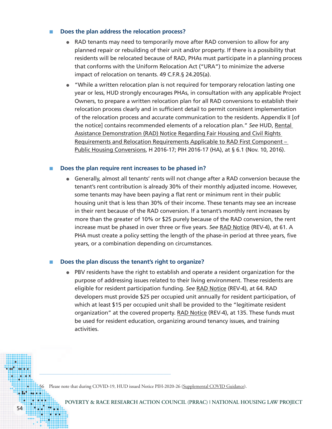#### n **Does the plan address the relocation process?**

- RAD tenants may need to temporarily move after RAD conversion to allow for any planned repair or rebuilding of their unit and/or property. If there is a possibility that residents will be relocated because of RAD, PHAs must participate in a planning process that conforms with the Uniform Relocation Act ("URA") to minimize the adverse impact of relocation on tenants. 49 C.F.R.§ 24.205(a).
- "While a written relocation plan is not required for temporary relocation lasting one year or less, HUD strongly encourages PHAs, in consultation with any applicable Project Owners, to prepare a written relocation plan for all RAD conversions to establish their relocation process clearly and in sufficient detail to permit consistent implementation of the relocation process and accurate communication to the residents. Appendix II [of the notice] contains recommended elements of a relocation plan." *See* HUD, Rental Assistance Demonstration (RAD) Notice Regarding Fair Housing and Civil Rights Requirements and Relocation Requirements Applicable to RAD First Component – Public Housing Conversions, H 2016-17; PIH 2016-17 (HA), at § 6.1 (Nov. 10, 2016).

#### n **Does the plan require rent increases to be phased in?**

**Generally, almost all tenants' rents will not change after a RAD conversion because the** tenant's rent contribution is already 30% of their monthly adjusted income. However, some tenants may have been paying a flat rent or minimum rent in their public housing unit that is less than 30% of their income. These tenants may see an increase in their rent because of the RAD conversion. If a tenant's monthly rent increases by more than the greater of 10% or \$25 purely because of the RAD conversion, the rent increase must be phased in over three or five years. *See* RAD Notice (REV-4), at 61. A PHA must create a policy setting the length of the phase-in period at three years, five years, or a combination depending on circumstances.

#### ■ Does the plan discuss the tenant's right to organize?

 $\bullet$  PBV residents have the right to establish and operate a resident organization for the purpose of addressing issues related to their living environment. These residents are eligible for resident participation funding. *See* RAD Notice (REV-4), at 64. RAD developers must provide \$25 per occupied unit annually for resident participation, of which at least \$15 per occupied unit shall be provided to the "legitimate resident organization" at the covered property. RAD Notice (REV-4), at 135. These funds must be used for resident education, organizing around tenancy issues, and training activities.

56 Please note that during COVID-19, HUD issued Notice PIH-2020-26 (Supplemental COVID Guidance).

\_\_\_\_\_\_\_\_\_\_\_\_\_\_\_\_\_\_\_\_\_\_\_\_\_\_\_\_\_\_\_\_\_\_\_\_\_\_\_\_\_\_\_\_\_\_\_\_\_\_\_\_\_\_\_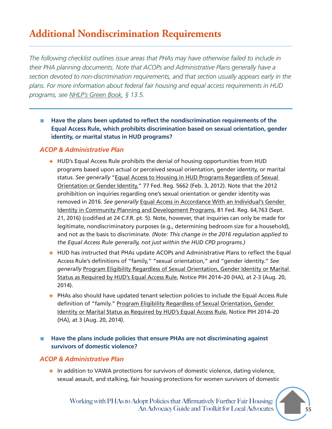# **Additional Nondiscrimination Requirements**

*The following checklist outlines issue areas that PHAs may have otherwise failed to include in their PHA planning documents. Note that ACOPs and Administrative Plans generally have a section devoted to non-discrimination requirements, and that section usually appears early in the plans. For more information about federal fair housing and equal access requirements in HUD programs, see NHLP's Green Book, § 13.5.* 

**Have the plans been updated to reflect the nondiscrimination requirements of the Equal Access Rule, which prohibits discrimination based on sexual orientation, gender identity, or marital status in HUD programs?**

### *ACOP & Administrative Plan*

- $\cdot$  HUD's Equal Access Rule prohibits the denial of housing opportunities from HUD programs based upon actual or perceived sexual orientation, gender identity, or marital status. *See generally* "Equal Access to Housing in HUD Programs Regardless of Sexual Orientation or Gender Identity," 77 Fed. Reg. 5662 (Feb. 3, 2012). Note that the 2012 prohibition on inquiries regarding one's sexual orientation or gender identity was removed in 2016. *See generally* Equal Access in Accordance With an Individual's Gender Identity in Community Planning and Development Programs, 81 Fed. Reg. 64,763 (Sept. 21, 2016) (codified at 24 C.F.R. pt. 5). Note, however, that inquiries can only be made for legitimate, nondiscriminatory purposes (e.g., determining bedroom size for a household), and not as the basis to discriminate. *(Note: This change in the 2016 regulation applied to the Equal Access Rule generally, not just within the HUD CPD programs.)*
- DER HUD has instructed that PHAs update ACOPs and Administrative Plans to reflect the Equal Access Rule's definitions of "family," "sexual orientation," and "gender identity." *See generally* Program Eligibility Regardless of Sexual Orientation, Gender Identity or Marital Status as Required by HUD's Equal Access Rule, Notice PIH 2014–20 (HA), at 2-3 (Aug. 20, 2014).
- **BED PHAS also should have updated tenant selection policies to include the Equal Access Rule** definition of "family." Program Eligibility Regardless of Sexual Orientation, Gender Identity or Marital Status as Required by HUD's Equal Access Rule, Notice PIH 2014–20 (HA), at 3 (Aug. 20, 2014).

### n **Have the plans include policies that ensure PHAs are not discriminating against survivors of domestic violence?**

### *ACOP & Administrative Plan*

In addition to VAWA protections for survivors of domestic violence, dating violence, sexual assault, and stalking, fair housing protections for women survivors of domestic



Working with PHAs to Adopt Policies that Affirmatively Further Fair Housing: An Advocacy Guide and Toolkit for Local Advocates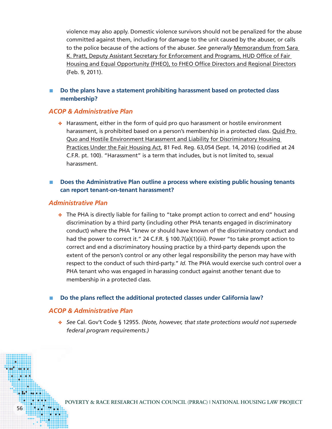violence may also apply. Domestic violence survivors should not be penalized for the abuse committed against them, including for damage to the unit caused by the abuser, or calls to the police because of the actions of the abuser. *See generally* Memorandum from Sara K. Pratt, Deputy Assistant Secretary for Enforcement and Programs, HUD Office of Fair Housing and Equal Opportunity (FHEO), to FHEO Office Directors and Regional Directors (Feb. 9, 2011).

### **n** Do the plans have a statement prohibiting harassment based on protected class **membership?**

### *ACOP & Administrative Plan*

 $\bullet$  Harassment, either in the form of quid pro quo harassment or hostile environment harassment, is prohibited based on a person's membership in a protected class. Quid Pro Quo and Hostile Environment Harassment and Liability for Discriminatory Housing Practices Under the Fair Housing Act, 81 Fed. Reg. 63,054 (Sept. 14, 2016) (codified at 24 C.F.R. pt. 100). "Harassment" is a term that includes, but is not limited to, sexual harassment.

### **n** Does the Administrative Plan outline a process where existing public housing tenants **can report tenant-on-tenant harassment?**

### *Administrative Plan*

 $\bullet$  The PHA is directly liable for failing to "take prompt action to correct and end" housing discrimination by a third party (including other PHA tenants engaged in discriminatory conduct) where the PHA "knew or should have known of the discriminatory conduct and had the power to correct it." 24 C.F.R. § 100.7(a)(1)(iii). Power "to take prompt action to correct and end a discriminatory housing practice by a third-party depends upon the extent of the person's control or any other legal responsibility the person may have with respect to the conduct of such third-party." *Id.* The PHA would exercise such control over a PHA tenant who was engaged in harassing conduct against another tenant due to membership in a protected class.

### ■ Do the plans reflect the additional protected classes under California law?

## *ACOP & Administrative Plan*

56

**See Cal. Gov't Code § 12955.** (Note, however, that state protections would not supersede *federal program requirements.)*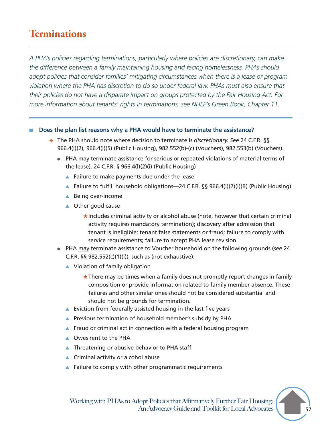# **Terminations**

*A PHA's policies regarding terminations, particularly where policies are discretionary, can make the difference between a family maintaining housing and facing homelessness. PHAs should adopt policies that consider families' mitigating circumstances when there is a lease or program violation where the PHA has discretion to do so under federal law. PHAs must also ensure that their policies do not have a disparate impact on groups protected by the Fair Housing Act. For more information about tenants' rights in terminations, see NHLP's Green Book, Chapter 11.*

### n **Does the plan list reasons why a PHA would have to terminate the assistance?**

- **↑** The PHA should note where decision to terminate is *discretionary. See* 24 C.F.R. §§ 966.4(l)(2), 966.4(l)(5) (Public Housing), 982.552(b)-(c) (Vouchers), 982.553(b) (Vouchers).
	- PHA may terminate assistance for serious or repeated violations of material terms of the lease). 24 C.F.R. § 966.4(l)(2)(i) (Public Housing)
		- $\triangle$  Failure to make payments due under the lease
		- **■** Failure to fulfill household obligations—24 C.F.R. §§ 966.4(I)(2)(i)(B) (Public Housing)
		- $\triangle$  Being over-income
		- $\triangle$  Other good cause
			- $\star$  Includes criminal activity or alcohol abuse (note, however that certain criminal activity requires mandatory termination); discovery after admission that tenant is ineligible; tenant false statements or fraud; failure to comply with service requirements; failure to accept PHA lease revision
	- <sup>l</sup> PHA may terminate assistance to Voucher household on the following grounds (*see* 24 C.F.R. §§ 982.552(c)(1)(i)), such as (not exhaustive):
		- $\blacktriangle$  Violation of family obligation
			- $\star$  There may be times when a family does not promptly report changes in family composition or provide information related to family member absence. These failures and other similar ones should not be considered substantial and should not be grounds for termination.
		- $\blacktriangle$  Eviction from federally assisted housing in the last five years
		- $\blacktriangle$  Previous termination of household member's subsidy by PHA
		- Fraud or criminal act in connection with a federal housing program
		- $\triangle$  Owes rent to the PHA
		- $\blacktriangle$  Threatening or abusive behavior to PHA staff
		- $\blacktriangle$  Criminal activity or alcohol abuse
		- $\blacktriangle$  Failure to comply with other programmatic requirements



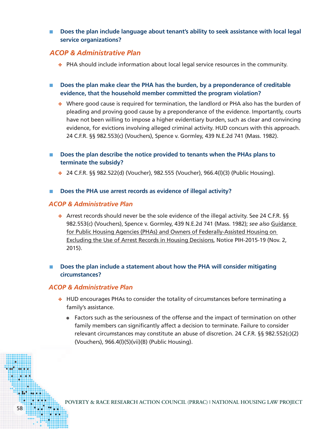### **n** Does the plan include language about tenant's ability to seek assistance with local legal **service organizations?**

### *ACOP & Administrative Plan*

- $\bullet$  PHA should include information about local legal service resources in the community.
- **n** Does the plan make clear the PHA has the burden, by a preponderance of creditable **evidence, that the household member committed the program violation?**
	- $\bullet$  Where good cause is required for termination, the landlord or PHA also has the burden of pleading and proving good cause by a preponderance of the evidence. Importantly, courts have not been willing to impose a higher evidentiary burden, such as clear and convincing evidence, for evictions involving alleged criminal activity. HUD concurs with this approach. 24 C.F.R. §§ 982.553(c) (Vouchers), Spence v. Gormley, 439 N.E.2d 741 (Mass. 1982).
- **n** Does the plan describe the notice provided to tenants when the PHAs plans to **terminate the subsidy?** 
	- $\cdot$  24 C.F.R. §§ 982.522(d) (Voucher), 982.555 (Voucher), 966.4(l)(3) (Public Housing).
- n **Does the PHA use arrest records as evidence of illegal activity?**

### *ACOP & Administrative Plan*

Arrest records should never be the sole evidence of the illegal activity. See 24 C.F.R. §§ 982.553(c) (Vouchers), Spence v. Gormley, 439 N.E.2d 741 (Mass. 1982); *see also* Guidance for Public Housing Agencies (PHAs) and Owners of Federally-Assisted Housing on Excluding the Use of Arrest Records in Housing Decisions, Notice PIH-2015-19 (Nov. 2, 2015).

### **n** Does the plan include a statement about how the PHA will consider mitigating **circumstances?**

### *ACOP & Administrative Plan*

- $\bullet$  HUD encourages PHAs to consider the totality of circumstances before terminating a family's assistance.
	- $\bullet$  Factors such as the seriousness of the offense and the impact of termination on other family members can significantly affect a decision to terminate. Failure to consider relevant circumstances may constitute an abuse of discretion. 24 C.F.R. §§ 982.552(c)(2) (Vouchers), 966.4(l)(5)(vii)(B) (Public Housing).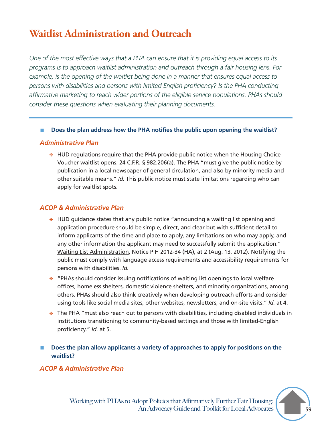*One of the most effective ways that a PHA can ensure that it is providing equal access to its programs is to approach waitlist administration and outreach through a fair housing lens. For example, is the opening of the waitlist being done in a manner that ensures equal access to persons with disabilities and persons with limited English proficiency? Is the PHA conducting affirmative marketing to reach wider portions of the eligible service populations. PHAs should consider these questions when evaluating their planning documents.* 

### n **Does the plan address how the PHA notifies the public upon opening the waitlist?**

### *Administrative Plan*

 $\bullet$  HUD regulations require that the PHA provide public notice when the Housing Choice Voucher waitlist opens. 24 C.F.R. § 982.206(a). The PHA "must give the public notice by publication in a local newspaper of general circulation, and also by minority media and other suitable means." *Id.* This public notice must state limitations regarding who can apply for waitlist spots.

## *ACOP & Administrative Plan*

- $\cdot$  HUD guidance states that any public notice "announcing a waiting list opening and application procedure should be simple, direct, and clear but with sufficient detail to inform applicants of the time and place to apply, any limitations on who may apply, and any other information the applicant may need to successfully submit the application." Waiting List Administration, Notice PIH 2012-34 (HA), at 2 (Aug. 13, 2012). Notifying the public must comply with language access requirements and accessibility requirements for persons with disabilities. *Id.*
- **PHAs should consider issuing notifications of waiting list openings to local welfare** offices, homeless shelters, domestic violence shelters, and minority organizations, among others. PHAs should also think creatively when developing outreach efforts and consider using tools like social media sites, other websites, newsletters, and on-site visits." *Id.* at 4.
- The PHA "must also reach out to persons with disabilities, including disabled individuals in institutions transitioning to community-based settings and those with limited-English proficiency." *Id.* at 5.

## **n** Does the plan allow applicants a variety of approaches to apply for positions on the **waitlist?**

### *ACOP & Administrative Plan*

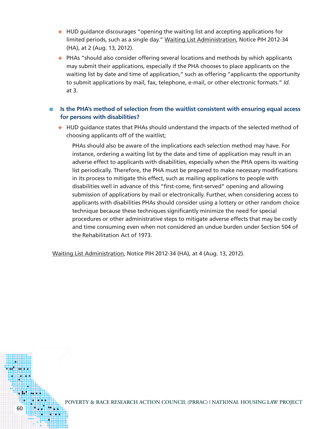- $\bullet$  HUD guidance discourages "opening the waiting list and accepting applications for limited periods, such as a single day." Waiting List Administration, Notice PIH 2012-34 (HA), at 2 (Aug. 13, 2012).
- $\bullet$  PHAs "should also consider offering several locations and methods by which applicants may submit their applications, especially if the PHA chooses to place applicants on the waiting list by date and time of application," such as offering "applicants the opportunity to submit applications by mail, fax, telephone, e-mail, or other electronic formats." *Id.* at 3.

### **n** Is the PHA's method of selection from the waitlist consistent with ensuring equal access **for persons with disabilities?**

\* HUD guidance states that PHAs should understand the impacts of the selected method of choosing applicants off of the waitlist;

PHAs should also be aware of the implications each selection method may have. For instance, ordering a waiting list by the date and time of application may result in an adverse effect to applicants with disabilities, especially when the PHA opens its waiting list periodically. Therefore, the PHA must be prepared to make necessary modifications in its process to mitigate this effect, such as mailing applications to people with disabilities well in advance of this "first-come, first-served" opening and allowing submission of applications by mail or electronically. Further, when considering access to applicants with disabilities PHAs should consider using a lottery or other random choice technique because these techniques significantly minimize the need for special procedures or other administrative steps to mitigate adverse effects that may be costly and time consuming even when not considered an undue burden under Section 504 of the Rehabilitation Act of 1973.

Waiting List Administration, Notice PIH 2012-34 (HA), at 4 (Aug. 13, 2012).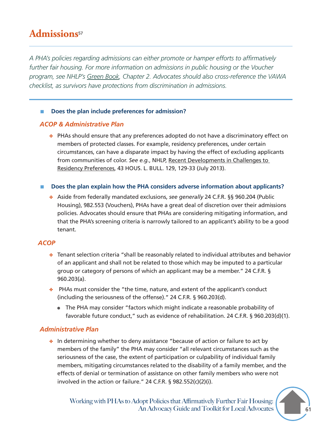# **Admissions**<sup>57</sup>

*A PHA's policies regarding admissions can either promote or hamper efforts to affirmatively further fair housing. For more information on admissions in public housing or the Voucher program, see NHLP's Green Book, Chapter 2. Advocates should also cross-reference the VAWA checklist, as survivors have protections from discrimination in admissions.*

### n **Does the plan include preferences for admission?**

### *ACOP & Administrative Plan*

- **B** PHAs should ensure that any preferences adopted do not have a discriminatory effect on members of protected classes. For example, residency preferences, under certain circumstances, can have a disparate impact by having the effect of excluding applicants from communities of color. *See e.g.*, NHLP, Recent Developments in Challenges to Residency Preferences, 43 HOUS. L. BULL. 129, 129-33 (July 2013).
- Does the plan explain how the PHA considers adverse information about applicants?
	- **↑** Aside from federally mandated exclusions, see generally 24 C.F.R. §§ 960.204 (Public Housing), 982.553 (Vouchers), PHAs have a great deal of discretion over their admissions policies. Advocates should ensure that PHAs are considering mitigating information, and that the PHA's screening criteria is narrowly tailored to an applicant's ability to be a good tenant.

### *ACOP*

- **•** Tenant selection criteria "shall be reasonably related to individual attributes and behavior of an applicant and shall not be related to those which may be imputed to a particular group or category of persons of which an applicant may be a member." 24 C.F.R. § 960.203(a).
- $\cdot$  PHAs must consider the "the time, nature, and extent of the applicant's conduct (including the seriousness of the offense)." 24 C.F.R. § 960.203(d).
	- $\bullet$  The PHA may consider "factors which might indicate a reasonable probability of favorable future conduct," such as evidence of rehabilitation. 24 C.F.R. § 960.203(d)(1).

### *Administrative Plan*

 $\cdot$  In determining whether to deny assistance "because of action or failure to act by members of the family" the PHA may consider "all relevant circumstances such as the seriousness of the case, the extent of participation or culpability of individual family members, mitigating circumstances related to the disability of a family member, and the effects of denial or termination of assistance on other family members who were not involved in the action or failure." 24 C.F.R. § 982.552(c)(2)(i).



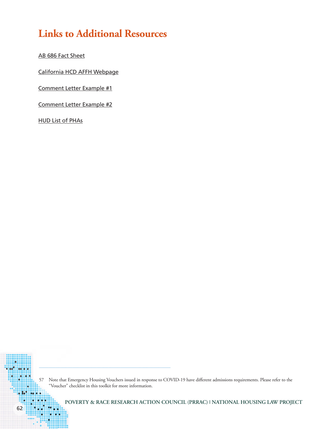# **Links to Additional Resources**

AB 686 Fact Sheet

California HCD AFFH Webpage

Comment Letter Example #1

Comment Letter Example #2

HUD List of PHAs

62



\_\_\_\_\_\_\_\_\_\_\_\_\_\_\_\_\_\_\_\_\_\_\_\_\_\_\_\_\_\_\_\_\_\_\_\_\_\_\_\_\_\_\_\_\_\_\_\_\_\_\_\_\_\_\_

**POVERTY & RACE RESEARCH ACTION COUNCIL (PRRAC) | NATIONAL HOUSING LAW PROJECT**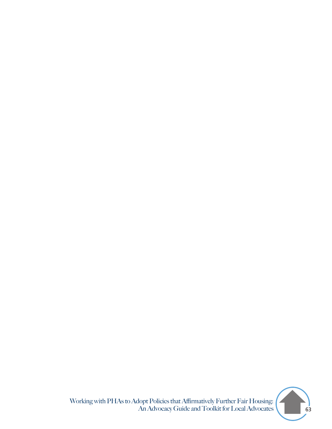

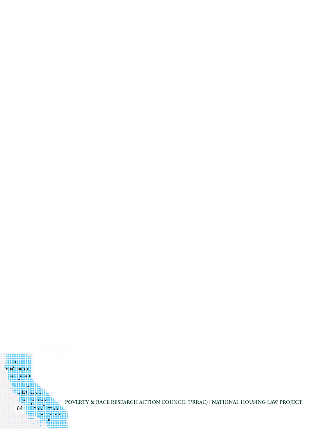

**POVERTY & RACE RESEARCH ACTION COUNCIL (PRRAC) | NATIONAL HOUSING LAW PROJECT**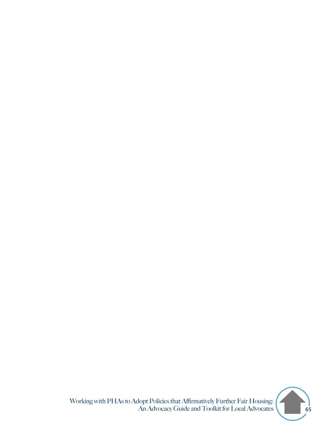

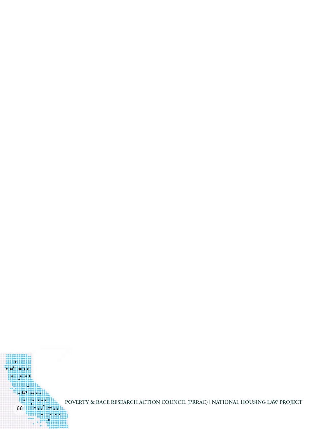

**POVERTY & RACE RESEARCH ACTION COUNCIL (PRRAC) | NATIONAL HOUSING LAW PROJECT**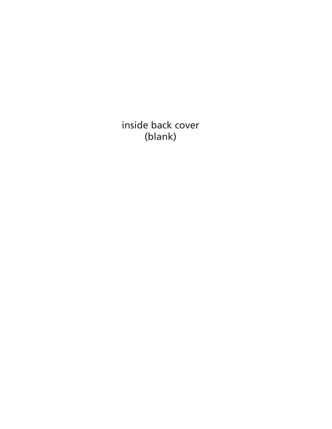inside back cover (blank)